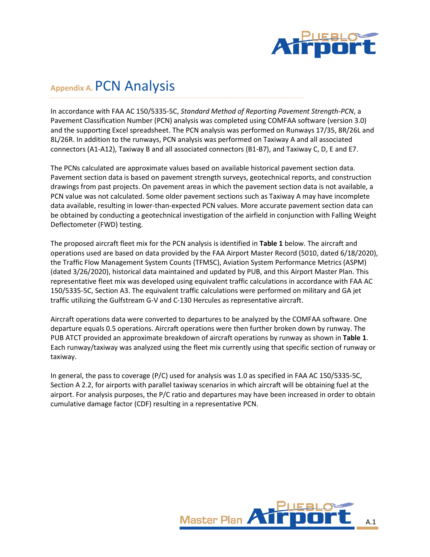

# **Appendix A.**PCN Analysis

In accordance with FAA AC 150/5335-5C, *Standard Method of Reporting Pavement Strength-PCN*, a Pavement Classification Number (PCN) analysis was completed using COMFAA software (version 3.0) and the supporting Excel spreadsheet. The PCN analysis was performed on Runways 17/35, 8R/26L and 8L/26R. In addition to the runways, PCN analysis was performed on Taxiway A and all associated connectors (A1-A12), Taxiway B and all associated connectors (B1-B7), and Taxiway C, D, E and E7.

The PCNs calculated are approximate values based on available historical pavement section data. Pavement section data is based on pavement strength surveys, geotechnical reports, and construction drawings from past projects. On pavement areas in which the pavement section data is not available, a PCN value was not calculated. Some older pavement sections such as Taxiway A may have incomplete data available, resulting in lower-than-expected PCN values. More accurate pavement section data can be obtained by conducting a geotechnical investigation of the airfield in conjunction with Falling Weight Deflectometer (FWD) testing.

The proposed aircraft fleet mix for the PCN analysis is identified in **Table 1** below. The aircraft and operations used are based on data provided by the FAA Airport Master Record (5010, dated 6/18/2020), the Traffic Flow Management System Counts (TFMSC), Aviation System Performance Metrics (ASPM) (dated 3/26/2020), historical data maintained and updated by PUB, and this Airport Master Plan. This representative fleet mix was developed using equivalent traffic calculations in accordance with FAA AC 150/5335-5C, Section A3. The equivalent traffic calculations were performed on military and GA jet traffic utilizing the Gulfstream G-V and C-130 Hercules as representative aircraft.

Aircraft operations data were converted to departures to be analyzed by the COMFAA software. One departure equals 0.5 operations. Aircraft operations were then further broken down by runway. The PUB ATCT provided an approximate breakdown of aircraft operations by runway as shown in **Table 1**. Each runway/taxiway was analyzed using the fleet mix currently using that specific section of runway or taxiway.

In general, the pass to coverage (P/C) used for analysis was 1.0 as specified in FAA AC 150/5335-5C, Section A 2.2, for airports with parallel taxiway scenarios in which aircraft will be obtaining fuel at the airport. For analysis purposes, the P/C ratio and departures may have been increased in order to obtain cumulative damage factor (CDF) resulting in a representative PCN.

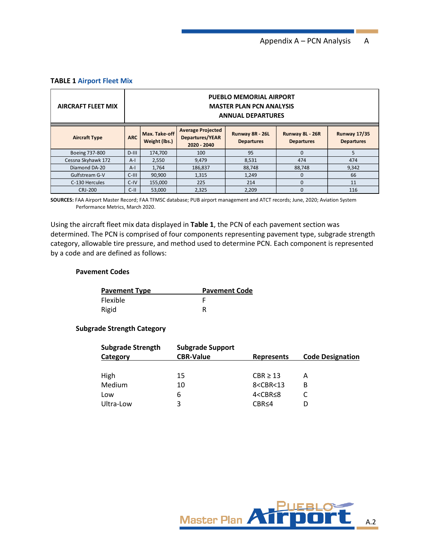## **TABLE 1 Airport Fleet Mix**

| <b>AIRCRAFT FLEET MIX</b> |            | <b>PUEBLO MEMORIAL AIRPORT</b><br><b>MASTER PLAN PCN ANALYSIS</b><br><b>ANNUAL DEPARTURES</b> |                                                                   |                                      |                                      |                                          |  |
|---------------------------|------------|-----------------------------------------------------------------------------------------------|-------------------------------------------------------------------|--------------------------------------|--------------------------------------|------------------------------------------|--|
| <b>Aircraft Type</b>      | <b>ARC</b> | Max. Take-off<br>Weight (lbs.)                                                                | <b>Average Projected</b><br><b>Departures/YEAR</b><br>2020 - 2040 | Runway 8R - 26L<br><b>Departures</b> | Runway 8L - 26R<br><b>Departures</b> | <b>Runway 17/35</b><br><b>Departures</b> |  |
| Boeing 737-800            | $D-III$    | 174,700                                                                                       | 100                                                               | 95                                   | $\Omega$                             | 5                                        |  |
| Cessna Skyhawk 172        | $A-I$      | 2,550                                                                                         | 9,479                                                             | 8,531                                | 474                                  | 474                                      |  |
| Diamond DA-20             | $A-I$      | 1,764                                                                                         | 186,837                                                           | 88,748                               | 88.748                               | 9,342                                    |  |
| Gulfstream G-V            | $C-III$    | 90,900                                                                                        | 1,315                                                             | 1,249                                | 0                                    | 66                                       |  |
| C-130 Hercules            | $C-IV$     | 155,000                                                                                       | 225                                                               | 214                                  | $\Omega$                             | 11                                       |  |
| <b>CRJ-200</b>            | $C-11$     | 53.000                                                                                        | 2.325                                                             | 2,209                                | $\Omega$                             | 116                                      |  |

**SOURCES:** FAA Airport Master Record; FAA TFMSC database; PUB airport management and ATCT records; June, 2020; Aviation System Performance Metrics, March 2020.

Using the aircraft fleet mix data displayed in **Table 1**, the PCN of each pavement section was determined. The PCN is comprised of four components representing pavement type, subgrade strength category, allowable tire pressure, and method used to determine PCN. Each component is represented by a code and are defined as follows:

### **Pavement Codes**

| <b>Pavement Type</b> | <b>Pavement Code</b> |
|----------------------|----------------------|
| Flexible             |                      |
| Rigid                |                      |

## **Subgrade Strength Category**

| <b>Subgrade Strength</b> | <b>Subgrade Support</b> |                                       |                         |
|--------------------------|-------------------------|---------------------------------------|-------------------------|
| <b>Category</b>          | <b>CBR-Value</b>        | <b>Represents</b>                     | <b>Code Designation</b> |
|                          |                         |                                       |                         |
| High                     | 15                      | $CBR \geq 13$                         | А                       |
| Medium                   | 10                      | 8 <cbr<13< td=""><td>В</td></cbr<13<> | В                       |
| Low                      | 6                       | 4 <cbr≤8< td=""><td></td></cbr≤8<>    |                         |
| Ultra-Low                | 3                       | CRR < 4                               |                         |

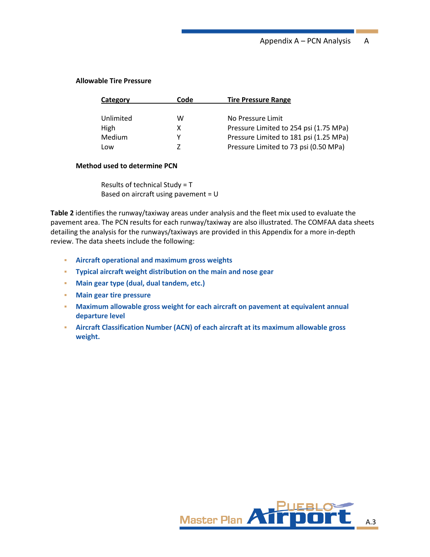## **Allowable Tire Pressure**

| Category  | Code | <b>Tire Pressure Range</b>             |
|-----------|------|----------------------------------------|
|           |      |                                        |
| Unlimited | w    | No Pressure Limit                      |
| High      | x    | Pressure Limited to 254 psi (1.75 MPa) |
| Medium    | v    | Pressure Limited to 181 psi (1.25 MPa) |
| Low       | 7    | Pressure Limited to 73 psi (0.50 MPa)  |
|           |      |                                        |

## **Method used to determine PCN**

Results of technical Study = T Based on aircraft using pavement = U

**Table 2** identifies the runway/taxiway areas under analysis and the fleet mix used to evaluate the pavement area. The PCN results for each runway/taxiway are also illustrated. The COMFAA data sheets detailing the analysis for the runways/taxiways are provided in this Appendix for a more in-depth review. The data sheets include the following:

- **Aircraft operational and maximum gross weights**
- **Typical aircraft weight distribution on the main and nose gear**
- **Main gear type (dual, dual tandem, etc.)**
- **Main gear tire pressure**
- **EXED Maximum allowable gross weight for each aircraft on pavement at equivalent annual departure level**
- **EXECTE AIRCRET CONSTRAIGHTER IS ALTERT AIRCRET AIRCRET AIRCRET AIRCRET AIRCRET AIRCRET AIRCRET AIRCRET AIRCRET AIRCRET AIRCRET AIRCRET AIRCRET AIRCRET AIRCRET AIRCRET AIRCRET AIRCRET AIRCRET AIRCRET AIRCRET AIRCRET AIRCRE weight.**

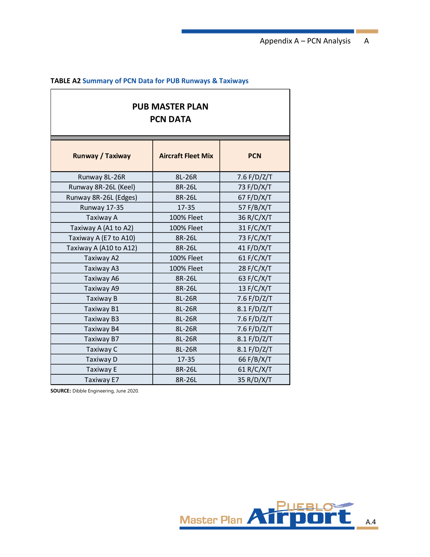Appendix A – PCN Analysis A

## **TABLE A2 Summary of PCN Data for PUB Runways & Taxiways**

## **PUB MASTER PLAN PCN DATA**

| Runway / Taxiway       | <b>Aircraft Fleet Mix</b> | <b>PCN</b>    |
|------------------------|---------------------------|---------------|
| Runway 8L-26R          | 8L-26R                    | 7.6 $F/D/Z/T$ |
| Runway 8R-26L (Keel)   | 8R-26L                    | 73 F/D/X/T    |
| Runway 8R-26L (Edges)  | 8R-26L                    | 67 F/D/X/T    |
| Runway 17-35           | $17 - 35$                 | 57 F/B/X/T    |
| Taxiway A              | <b>100% Fleet</b>         | 36 R/C/X/T    |
| Taxiway A (A1 to A2)   | <b>100% Fleet</b>         | 31 F/C/X/T    |
| Taxiway A (E7 to A10)  | 8R-26L                    | 73 F/C/X/T    |
| Taxiway A (A10 to A12) | 8R-26L                    | 41 F/D/X/T    |
| Taxiway A2             | <b>100% Fleet</b>         | 61 $F/C/X/T$  |
| Taxiway A3             | <b>100% Fleet</b>         | 28 F/C/X/T    |
| Taxiway A6             | 8R-26L                    | 63 F/C/X/T    |
| Taxiway A9             | 8R-26L                    | 13 F/C/X/T    |
| Taxiway B              | 8L-26R                    | 7.6 F/D/Z/T   |
| Taxiway B1             | 8L-26R                    | 8.1 F/D/Z/T   |
| Taxiway B3             | 8L-26R                    | 7.6 F/D/Z/T   |
| Taxiway B4             | 8L-26R                    | 7.6 F/D/Z/T   |
| Taxiway B7             | 8L-26R                    | 8.1 F/D/Z/T   |
| Taxiway C              | 8L-26R                    | 8.1 F/D/Z/T   |
| Taxiway D              | $17 - 35$                 | 66 F/B/X/T    |
| Taxiway E              | 8R-26L                    | 61 R/C/X/T    |
| Taxiway E7             | 8R-26L                    | 35 R/D/X/T    |

**SOURCE:** Dibble Engineering, June 2020.

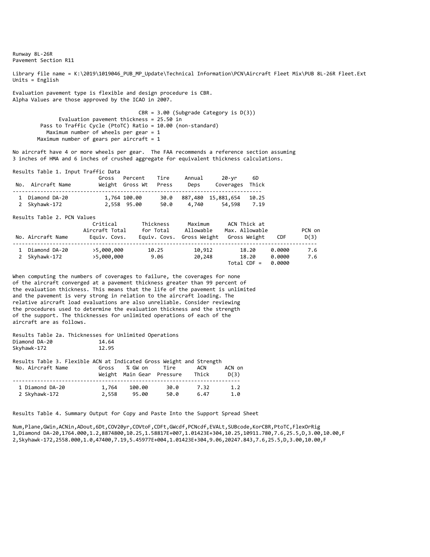Runway 8L‐26R Pavement Section R11

Library file name = K:\2019\1019046\_PUB\_MP\_Update\Technical Information\PCN\Aircraft Fleet Mix\PUB 8L-26R Fleet.Ext Units = English

Evaluation pavement type is flexible and design procedure is CBR. Alpha Values are those approved by the ICAO in 2007.

> CBR = 3.00 (Subgrade Category is D(3)) Evaluation pavement thickness = 25.50 in Pass to Traffic Cycle (PtoTC) Ratio = 10.00 (non‐standard) Maximum number of wheels per gear = 1 Maximum number of gears per aircraft = 1

No aircraft have 4 or more wheels per gear. The FAA recommends a reference section assuming 3 inches of HMA and 6 inches of crushed aggregate for equivalent thickness calculations.

Results Table 1. Input Traffic Data

| No. Aircraft Name                | Gross Percent<br>Weight Gross Wt Press | Tire | Annual<br>Deps | 20-yr<br>Coverages Thick          | - 6D          |  |
|----------------------------------|----------------------------------------|------|----------------|-----------------------------------|---------------|--|
| 1 Diamond DA-20<br>2 Skyhawk-172 | 1,764 100.00<br>2,558 95.00            | 50.0 | 4.740          | 30.0 887,480 15,881,654<br>54.598 | 10.25<br>7.19 |  |

Results Table 2. PCN Values

| No. Aircraft Name              | Critical<br>Aircraft Total<br>Equiv. Covs. | Thickness<br>for Total | Maximum<br>Allowable<br>Equiv. Covs. Gross Weight | ACN Thick at<br>Max. Allowable<br>Gross Weight | <b>CDF</b>                 | PCN on<br>D(3) |
|--------------------------------|--------------------------------------------|------------------------|---------------------------------------------------|------------------------------------------------|----------------------------|----------------|
| Diamond DA-20<br>2 Skyhawk-172 | >5,000,000<br>>5,000,000                   | 10.25<br>9.06          | 10,912<br>20,248                                  | 18.20<br>18.20<br>$Total$ CDF =                | 0.0000<br>0.0000<br>0.0000 | 7.6<br>7.6     |

When computing the numbers of coverages to failure, the coverages for none of the aircraft converged at a pavement thickness greater than 99 percent of the evaluation thickness. This means that the life of the pavement is unlimited and the pavement is very strong in relation to the aircraft loading. The relative aircraft load evaluations are also unreliable. Consider reviewing the procedures used to determine the evaluation thickness and the strength of the support. The thicknesses for unlimited operations of each of the aircraft are as follows.

Results Table 2a. Thicknesses for Unlimited Operations Diamond DA‐20 14.64 Skyhawk-172

| Results Table 3. Flexible ACN at Indicated Gross Weight and Strength |       |                           |      |       |        |
|----------------------------------------------------------------------|-------|---------------------------|------|-------|--------|
| No. Aircraft Name                                                    | Gross | % GW on                   | Tire | ACN   | ACN on |
|                                                                      |       | Weight Main Gear Pressure |      | Thick | D(3)   |
|                                                                      |       |                           |      |       |        |
| 1 Diamond DA-20                                                      | 1,764 | 100.00                    | 30.0 | 7.32  | 1.2    |
| 2 Skyhawk-172                                                        | 2,558 | 95.00                     | 50.0 | 6.47  | 1.0    |

Results Table 4. Summary Output for Copy and Paste Into the Support Spread Sheet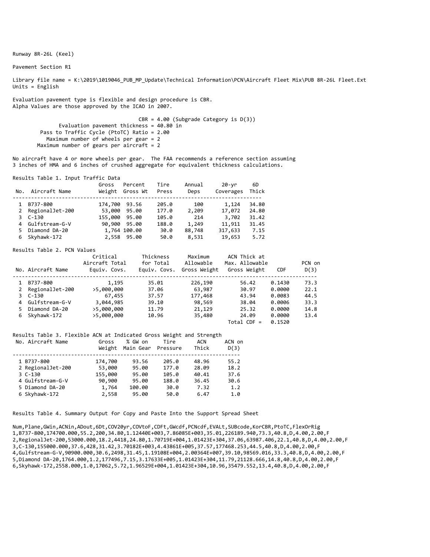Runway 8R‐26L (Keel)

Pavement Section R1

Library file name = K:\2019\1019046\_PUB\_MP\_Update\Technical Information\PCN\Aircraft Fleet Mix\PUB 8R-26L Fleet.Ext Units = English

Evaluation pavement type is flexible and design procedure is CBR. Alpha Values are those approved by the ICAO in 2007.

> CBR = 4.00 (Subgrade Category is D(3)) Evaluation pavement thickness = 40.80 in Pass to Traffic Cycle (PtoTC) Ratio = 2.00 Maximum number of wheels per gear = 2 Maximum number of gears per aircraft = 2

No aircraft have 4 or more wheels per gear. The FAA recommends a reference section assuming 3 inches of HMA and 6 inches of crushed aggregate for equivalent thickness calculations.

Results Table 1. Input Traffic Data

| No. | Aircraft Name    | Gross         | Percent<br>Weight Gross Wt | Tire<br>Press | Annual<br>Deps | 20-yr<br>Coverages | 6D<br>Thick |
|-----|------------------|---------------|----------------------------|---------------|----------------|--------------------|-------------|
|     | B737-800         | 174,700 93.56 |                            | 205.0         | 100            | 1,124              | 34.80       |
| 2   | RegionalJet-200  | 53,000        | 95.00                      | 177.0         | 2,209          | 17,072             | 24.80       |
|     | $3C-130$         | 155,000 95.00 |                            | 105.0         | 214            | 3,702              | 31.42       |
|     | 4 Gulfstream-G-V |               | 90,900 95.00               | 188.0         | 1,249          | 11,911             | 31.45       |
|     | Diamond DA-20    |               | 1,764 100.00               | 30.0          | 88,748         | 317,633            | 7.15        |
|     | Skyhawk-172      |               | 2,558 95.00                | 50.0          | 8,531          | 19,653             | 5.72        |

#### Results Table 2. PCN Values

|    | No. Aircraft Name | Critical<br>Aircraft Total<br>Equiv. Covs. | Thickness<br>for Total<br>Equiv. Covs. | Maximum<br>Allowable<br>Gross Weight | ACN Thick at<br>Max. Allowable<br>Gross Weight | <b>CDF</b> | PCN on<br>D(3) |
|----|-------------------|--------------------------------------------|----------------------------------------|--------------------------------------|------------------------------------------------|------------|----------------|
|    | B737-800          | 1,195                                      | 35.01                                  | 226,190                              | 56.42                                          | 0.1430     | 73.3           |
|    | 2 RegionalJet-200 | >5,000,000                                 | 37.06                                  | 63,987                               | 30.97                                          | 0.0000     | 22.1           |
|    | 3 C-130           | 67,455                                     | 37.57                                  | 177,468                              | 43.94                                          | 0.0083     | 44.5           |
|    | 4 Gulfstream-G-V  | 3,044,985                                  | 39.10                                  | 98,569                               | 38.04                                          | 0.0006     | 33.3           |
| 5. | Diamond DA-20     | >5,000,000                                 | 11.79                                  | 21,129                               | 25.32                                          | 0.0000     | 14.8           |
|    | 6 Skyhawk-172     | >5,000,000                                 | 10.96                                  | 35,480                               | 24.09                                          | 0.0000     | 13.4           |
|    |                   |                                            |                                        |                                      | $Total$ CDF =                                  | 0.1520     |                |

#### Results Table 3. Flexible ACN at Indicated Gross Weight and Strength

| No. Aircraft Name | Gross<br>Weight | % GW on<br>Main Gear | Tire<br>Pressure | ACN<br>Thick | ACN on<br>D(3) |
|-------------------|-----------------|----------------------|------------------|--------------|----------------|
| 1 B737-800        | 174,700         | 93.56                | 205.0            | 48.96        | 55.2           |
| 2 RegionalJet-200 | 53,000          | 95.00                | 177.0            | 28.09        | 18.2           |
| $3C-130$          | 155,000         | 95.00                | 105.0            | 40.41        | 37.6           |
| 4 Gulfstream-G-V  | 90,900          | 95.00                | 188.0            | 36.45        | 30.6           |
| 5 Diamond DA-20   | 1,764           | 100.00               | 30.0             | 7.32         | 1.2            |
| 6 Skyhawk-172     | 2,558           | 95.00                | 50.0             | 6.47         | 1.0            |

Results Table 4. Summary Output for Copy and Paste Into the Support Spread Sheet

Num,Plane,GWin,ACNin,ADout,6Dt,COV20yr,COVtoF,CDFt,GWcdf,PCNcdf,EVALt,SUBcode,KorCBR,PtoTC,FlexOrRig 1,B737‐800,174700.000,55.2,200,34.80,1.12440E+003,7.86085E+003,35.01,226189.940,73.3,40.8,D,4.00,2.00,F 2,RegionalJet‐200,53000.000,18.2,4418,24.80,1.70719E+004,1.01423E+304,37.06,63987.406,22.1,40.8,D,4.00,2.00,F 3,C‐130,155000.000,37.6,428,31.42,3.70182E+003,4.43861E+005,37.57,177468.253,44.5,40.8,D,4.00,2.00,F 4,Gulfstream‐G‐V,90900.000,30.6,2498,31.45,1.19108E+004,2.00364E+007,39.10,98569.016,33.3,40.8,D,4.00,2.00,F 5,Diamond DA‐20,1764.000,1.2,177496,7.15,3.17633E+005,1.01423E+304,11.79,21128.666,14.8,40.8,D,4.00,2.00,F 6,Skyhawk‐172,2558.000,1.0,17062,5.72,1.96529E+004,1.01423E+304,10.96,35479.552,13.4,40.8,D,4.00,2.00,F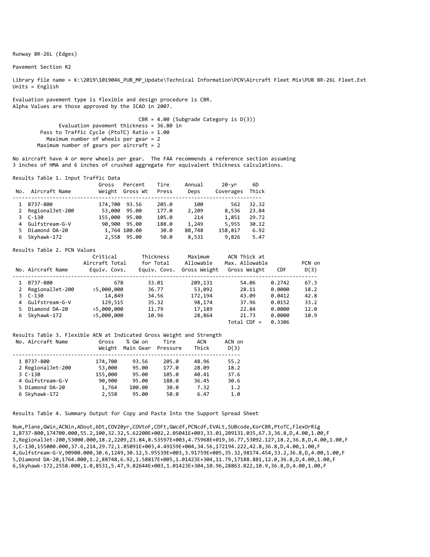Runway 8R‐26L (Edges)

Pavement Section R2

Library file name = K:\2019\1019046\_PUB\_MP\_Update\Technical Information\PCN\Aircraft Fleet Mix\PUB 8R-26L Fleet.Ext Units = English

Evaluation pavement type is flexible and design procedure is CBR. Alpha Values are those approved by the ICAO in 2007.

> CBR = 4.00 (Subgrade Category is D(3)) Evaluation pavement thickness = 36.80 in Pass to Traffic Cycle (PtoTC) Ratio = 1.00 Maximum number of wheels per gear = 2 Maximum number of gears per aircraft = 2

No aircraft have 4 or more wheels per gear. The FAA recommends a reference section assuming 3 inches of HMA and 6 inches of crushed aggregate for equivalent thickness calculations.

Results Table 1. Input Traffic Data

| No. | Aircraft Name    | Gross         | Percent<br>Weight Gross Wt | Tire<br>Press | Annual<br>Deps | 20-yr<br>Coverages | 6D<br>Thick |
|-----|------------------|---------------|----------------------------|---------------|----------------|--------------------|-------------|
|     | B737-800         | 174,700 93.56 |                            | 205.0         | 100            | 562                | 32.32       |
| 2   | RegionalJet-200  | 53,000        | 95.00                      | 177.0         | 2,209          | 8,536              | 23.84       |
|     | $3C-130$         | 155,000 95.00 |                            | 105.0         | 214            | 1,851              | 29.72       |
|     | 4 Gulfstream-G-V |               | 90,900 95.00               | 188.0         | 1,249          | 5,955              | 30.12       |
|     | Diamond DA-20    |               | 1,764 100.00               | 30.0          | 88,748         | 158,817            | 6.92        |
|     | Skyhawk-172      |               | 2,558 95.00                | 50.0          | 8,531          | 9,826              | 5.47        |

#### Results Table 2. PCN Values

|    | No. Aircraft Name | Critical<br>Aircraft Total<br>Equiv. Covs. | Thickness<br>for Total<br>Equiv. Covs. | Maximum<br>Allowable<br>Gross Weight | ACN Thick at<br>Max. Allowable<br>Gross Weight | <b>CDF</b> | PCN on<br>D(3) |
|----|-------------------|--------------------------------------------|----------------------------------------|--------------------------------------|------------------------------------------------|------------|----------------|
|    | B737-800          | 678                                        | 33.01                                  | 209,131                              | 54.06                                          | 0.2742     | 67.3           |
|    | 2 RegionalJet-200 | >5,000,000                                 | 36.77                                  | 53,092                               | 28.11                                          | 0.0000     | 18.2           |
|    | 3 C-130           | 14,849                                     | 34.56                                  | 172,194                              | 43.09                                          | 0.0412     | 42.8           |
|    | 4 Gulfstream-G-V  | 129,515                                    | 35.32                                  | 98,174                               | 37.96                                          | 0.0152     | 33.2           |
| 5. | Diamond DA-20     | >5,000,000                                 | 11.79                                  | 17,189                               | 22.84                                          | 0.0000     | 12.0           |
|    | 6 Skyhawk-172     | >5,000,000                                 | 10.96                                  | 28,864                               | 21.73                                          | 0.0000     | 10.9           |
|    |                   |                                            |                                        |                                      | $Total$ CDF =                                  | 0.3306     |                |

#### Results Table 3. Flexible ACN at Indicated Gross Weight and Strength

| No. Aircraft Name | Gross<br>Weight | % GW on<br>Main Gear | Tire<br>Pressure | ACN<br>Thick | ACN on<br>D(3) |
|-------------------|-----------------|----------------------|------------------|--------------|----------------|
| 1 B737-800        | 174,700         | 93.56                | 205.0            | 48.96        | 55.2           |
| 2 RegionalJet-200 | 53,000          | 95.00                | 177.0            | 28.09        | 18.2           |
| $3C-130$          | 155,000         | 95.00                | 105.0            | 40.41        | 37.6           |
| 4 Gulfstream-G-V  | 90,900          | 95.00                | 188.0            | 36.45        | 30.6           |
| 5 Diamond DA-20   | 1,764           | 100.00               | 30.0             | 7.32         | 1.2            |
| 6 Skyhawk-172     | 2,558           | 95.00                | 50.0             | 6.47         | 1.0            |

Results Table 4. Summary Output for Copy and Paste Into the Support Spread Sheet

Num,Plane,GWin,ACNin,ADout,6Dt,COV20yr,COVtoF,CDFt,GWcdf,PCNcdf,EVALt,SUBcode,KorCBR,PtoTC,FlexOrRig 1,B737‐800,174700.000,55.2,100,32.32,5.62200E+002,2.05041E+003,33.01,209131.035,67.3,36.8,D,4.00,1.00,F 2,RegionalJet‐200,53000.000,18.2,2209,23.84,8.53597E+003,4.75968E+019,36.77,53092.127,18.2,36.8,D,4.00,1.00,F 3,C‐130,155000.000,37.6,214,29.72,1.85091E+003,4.49159E+004,34.56,172194.222,42.8,36.8,D,4.00,1.00,F 4,Gulfstream‐G‐V,90900.000,30.6,1249,30.12,5.95539E+003,3.91759E+005,35.32,98174.454,33.2,36.8,D,4.00,1.00,F 5,Diamond DA‐20,1764.000,1.2,88748,6.92,1.58817E+005,1.01423E+304,11.79,17188.881,12.0,36.8,D,4.00,1.00,F 6,Skyhawk‐172,2558.000,1.0,8531,5.47,9.82644E+003,1.01423E+304,10.96,28863.822,10.9,36.8,D,4.00,1.00,F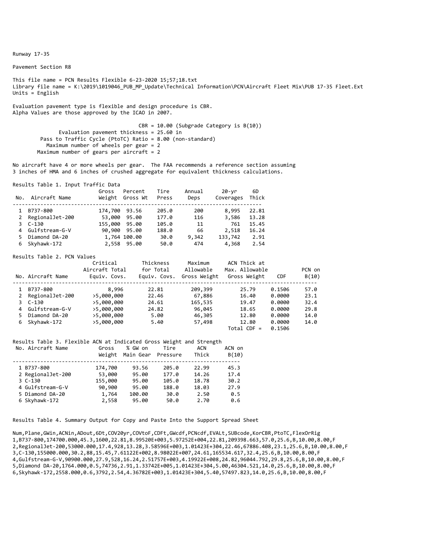Runway 17‐35

Pavement Section R8

This file name = PCN Results Flexible 6‐23‐2020 15;57;18.txt Library file name = K:\2019\1019046\_PUB\_MP\_Update\Technical Information\PCN\Aircraft Fleet Mix\PUB 17‐35 Fleet.Ext Units = English

Evaluation pavement type is flexible and design procedure is CBR. Alpha Values are those approved by the ICAO in 2007.

> CBR = 10.00 (Subgrade Category is B(10)) Evaluation pavement thickness = 25.60 in Pass to Traffic Cycle (PtoTC) Ratio = 8.00 (non-standard) Maximum number of wheels per gear = 2 Maximum number of gears per aircraft =  $2$

No aircraft have 4 or more wheels per gear. The FAA recommends a reference section assuming 3 inches of HMA and 6 inches of crushed aggregate for equivalent thickness calculations.

Results Table 1. Input Traffic Data

| No. | Aircraft Name    | Gross<br>Weight | Percent<br>Gross Wt | Tire<br>Press | Annual<br>Deps | 20-yr<br>Coverages | 6D<br>Thick |
|-----|------------------|-----------------|---------------------|---------------|----------------|--------------------|-------------|
|     | B737-800         | 174,700         | 93.56               | 205.0         | 200            | 8,995              | 22.81       |
| 2   | RegionalJet-200  | 53,000          | 95.00               | 177.0         | 116            | 3,586              | 13.28       |
|     | $3C-130$         | 155,000         | 95.00               | 105.0         | 11             | 761                | 15.45       |
|     | 4 Gulfstream-G-V |                 | 90.900 95.00        | 188.0         | 66             | 2,518              | 16.24       |
|     | Diamond DA-20    |                 | 1,764 100.00        | 30.0          | 9,342          | 133,742            | 2.91        |
|     | Skyhawk-172      |                 | 2,558 95.00         | 50.0          | 474            | 4,368              | 2.54        |

Results Table 2. PCN Values

|    | No. Aircraft Name | Critical<br>Aircraft Total<br>Equiv. Covs. | Thickness<br>for Total<br>Equiv. Covs. | Maximum<br>Allowable<br>Gross Weight | ACN Thick at<br>Max. Allowable<br>Gross Weight | <b>CDF</b> | PCN on<br>B(10) |
|----|-------------------|--------------------------------------------|----------------------------------------|--------------------------------------|------------------------------------------------|------------|-----------------|
|    | B737-800          | 8,996                                      | 22.81                                  | 209,399                              | 25.79                                          | 0.1506     | 57.0            |
| 2  | RegionalJet-200   | >5,000,000                                 | 22.46                                  | 67,886                               | 16.40                                          | 0.0000     | 23.1            |
|    | 3 C-130           | >5,000,000                                 | 24.61                                  | 165,535                              | 19.47                                          | 0.0000     | 32.4            |
|    | 4 Gulfstream-G-V  | >5,000,000                                 | 24.82                                  | 96,045                               | 18.65                                          | 0.0000     | 29.8            |
| 5. | Diamond DA-20     | >5,000,000                                 | 5.00                                   | 46,305                               | 12.80                                          | 0.0000     | 14.0            |
| 6  | Skyhawk-172       | >5,000,000                                 | 5.40                                   | 57,498                               | 12.80                                          | 0.0000     | 14.0            |
|    |                   |                                            |                                        |                                      | $Total$ CDF =                                  | 0.1506     |                 |

#### Results Table 3. Flexible ACN at Indicated Gross Weight and Strength

| No. Aircraft Name | Gross<br>Weight | % GW on<br>Main Gear | Tire<br>Pressure | ACN<br>Thick | ACN on<br>B(10) |
|-------------------|-----------------|----------------------|------------------|--------------|-----------------|
| 1 B737-800        | 174,700         | 93.56                | 205.0            | 22.99        | 45.3            |
| 2 RegionalJet-200 | 53,000          | 95.00                | 177.0            | 14.26        | 17.4            |
| $3C-130$          | 155,000         | 95.00                | 105.0            | 18.78        | 30.2            |
| 4 Gulfstream-G-V  | 90,900          | 95.00                | 188.0            | 18.03        | 27.9            |
| 5 Diamond DA-20   | 1,764           | 100.00               | 30.0             | 2.50         | 0.5             |
| 6 Skyhawk-172     | 2,558           | 95.00                | 50.0             | 2.70         | 0.6             |
|                   |                 |                      |                  |              |                 |

Results Table 4. Summary Output for Copy and Paste Into the Support Spread Sheet

Num,Plane,GWin,ACNin,ADout,6Dt,COV20yr,COVtoF,CDFt,GWcdf,PCNcdf,EVALt,SUBcode,KorCBR,PtoTC,FlexOrRig 1,B737‐800,174700.000,45.3,1600,22.81,8.99520E+003,5.97252E+004,22.81,209398.663,57.0,25.6,B,10.00,8.00,F 2,RegionalJet‐200,53000.000,17.4,928,13.28,3.58596E+003,1.01423E+304,22.46,67886.408,23.1,25.6,B,10.00,8.00,F 3,C‐130,155000.000,30.2,88,15.45,7.61122E+002,8.98022E+007,24.61,165534.617,32.4,25.6,B,10.00,8.00,F 4,Gulfstream‐G‐V,90900.000,27.9,528,16.24,2.51757E+003,4.19922E+008,24.82,96044.792,29.8,25.6,B,10.00,8.00,F 5,Diamond DA‐20,1764.000,0.5,74736,2.91,1.33742E+005,1.01423E+304,5.00,46304.521,14.0,25.6,B,10.00,8.00,F 6,Skyhawk‐172,2558.000,0.6,3792,2.54,4.36782E+003,1.01423E+304,5.40,57497.823,14.0,25.6,B,10.00,8.00,F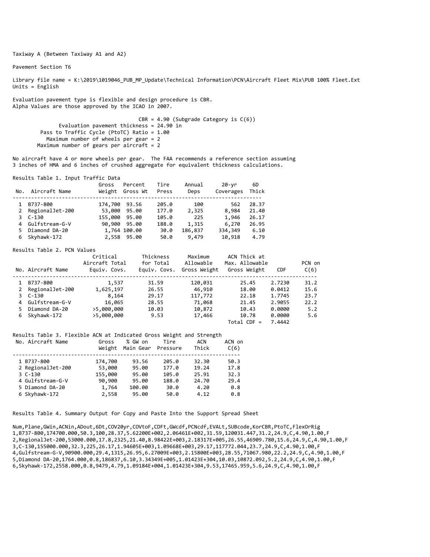Taxiway A (Between Taxiway A1 and A2)

Pavement Section T6

Library file name = K:\2019\1019046 PUB MP Update\Technical Information\PCN\Aircraft Fleet Mix\PUB 100% Fleet.Ext Units = English

Evaluation pavement type is flexible and design procedure is CBR. Alpha Values are those approved by the ICAO in 2007.

> $CBR = 4.90$  (Subgrade Category is  $C(6)$ ) Evaluation pavement thickness =  $24.90$  in Pass to Traffic Cycle (PtoTC) Ratio = 1.00 Maximum number of wheels per gear = 2 Maximum number of gears per aircraft = 2

No aircraft have 4 or more wheels per gear. The FAA recommends a reference section assuming 3 inches of HMA and 6 inches of crushed aggregate for equivalent thickness calculations.

Results Table 1. Input Traffic Data

| No. | Aircraft Name    | Gross   | Percent<br>Weight Gross Wt | Tire<br>Press | Annual<br>Deps | 20-yr<br>Coverages | 6D<br>Thick |
|-----|------------------|---------|----------------------------|---------------|----------------|--------------------|-------------|
|     | B737-800         | 174,700 | 93.56                      | 205.0         | 100            | 562                | 28.37       |
| 2   | RegionalJet-200  | 53,000  | 95.00                      | 177.0         | 2,325          | 8,984              | 21.40       |
|     | $3C-130$         | 155,000 | 95.00                      | 105.0         | 225            | 1,946              | 26.17       |
|     | 4 Gulfstream-G-V |         | 90,900 95.00               | 188.0         | 1,315          | 6,270              | 26.95       |
|     | Diamond DA-20    |         | 1,764 100.00               | 30.0          | 186,837        | 334,349            | 6.10        |
| 6   | Skyhawk-172      |         | 2,558 95.00                | 50.0          | 9,479          | 10,918             | 4.79        |

#### Results Table 2. PCN Values

|    | No. Aircraft Name | Critical<br>Aircraft Total<br>Equiv. Covs. | Thickness<br>for Total<br>Equiv. Covs. | Maximum<br>Allowable<br>Gross Weight | ACN Thick at<br>Max. Allowable<br>Gross Weight | <b>CDF</b> | PCN on<br>C(6) |
|----|-------------------|--------------------------------------------|----------------------------------------|--------------------------------------|------------------------------------------------|------------|----------------|
|    | B737-800          | 1,537                                      | 31.59                                  | 120,031                              | 25.45                                          | 2.7230     | 31.2           |
|    | 2 RegionalJet-200 | 1,625,197                                  | 26.55                                  | 46,910                               | 18.00                                          | 0.0412     | 15.6           |
|    | 3 C-130           | 8,164                                      | 29.17                                  | 117,772                              | 22.18                                          | 1.7745     | 23.7           |
|    | 4 Gulfstream-G-V  | 16,065                                     | 28.55                                  | 71,068                               | 21.45                                          | 2.9055     | 22.2           |
| 5. | Diamond DA-20     | >5,000,000                                 | 10.03                                  | 10,872                               | 10.43                                          | 0.0000     | 5.2            |
|    | 6 Skyhawk-172     | >5,000,000                                 | 9.53                                   | 17,466                               | 10.78                                          | 0.0000     | 5.6            |
|    |                   |                                            |                                        |                                      | $Total CDF =$                                  | 7.4442     |                |

#### Results Table 3. Flexible ACN at Indicated Gross Weight and Strength

| No. Aircraft Name | Gross<br>Weight | % GW on<br>Main Gear | Tire<br>Pressure | ACN<br>Thick | ACN on<br>C(6) |
|-------------------|-----------------|----------------------|------------------|--------------|----------------|
| 1 B737-800        | 174,700         | 93.56                | 205.0            | 32.30        | 50.3           |
| 2 RegionalJet-200 | 53,000          | 95.00                | 177.0            | 19.24        | 17.8           |
| $3C-130$          | 155,000         | 95.00                | 105.0            | 25.91        | 32.3           |
| 4 Gulfstream-G-V  | 90,900          | 95.00                | 188.0            | 24.70        | 29.4           |
| 5 Diamond DA-20   | 1,764           | 100.00               | 30.0             | 4.20         | 0.8            |
| 6 Skyhawk-172     | 2,558           | 95.00                | 50.0             | 4.12         | 0.8            |

Results Table 4. Summary Output for Copy and Paste Into the Support Spread Sheet

Num,Plane,GWin,ACNin,ADout,6Dt,COV20yr,COVtoF,CDFt,GWcdf,PCNcdf,EVALt,SUBcode,KorCBR,PtoTC,FlexOrRig 1,B737‐800,174700.000,50.3,100,28.37,5.62200E+002,2.06461E+002,31.59,120031.447,31.2,24.9,C,4.90,1.00,F 2,RegionalJet‐200,53000.000,17.8,2325,21.40,8.98422E+003,2.18317E+005,26.55,46909.780,15.6,24.9,C,4.90,1.00,F 3,C‐130,155000.000,32.3,225,26.17,1.94605E+003,1.09668E+003,29.17,117772.044,23.7,24.9,C,4.90,1.00,F 4,Gulfstream‐G‐V,90900.000,29.4,1315,26.95,6.27009E+003,2.15800E+003,28.55,71067.980,22.2,24.9,C,4.90,1.00,F 5,Diamond DA‐20,1764.000,0.8,186837,6.10,3.34349E+005,1.01423E+304,10.03,10872.092,5.2,24.9,C,4.90,1.00,F 6,Skyhawk‐172,2558.000,0.8,9479,4.79,1.09184E+004,1.01423E+304,9.53,17465.959,5.6,24.9,C,4.90,1.00,F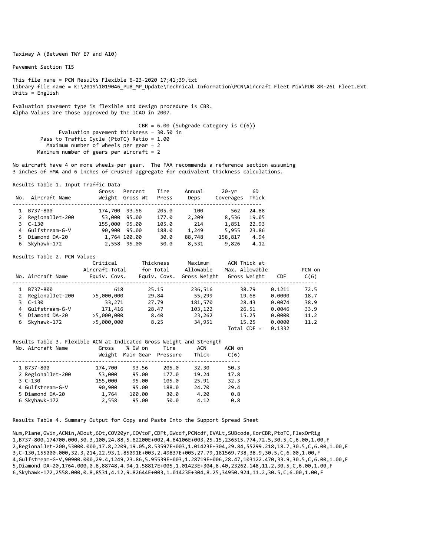Taxiway A (Between TWY E7 and A10)

Pavement Section T15

This file name = PCN Results Flexible 6‐23‐2020 17;41;39.txt Library file name = K:\2019\1019046\_PUB\_MP\_Update\Technical Information\PCN\Aircraft Fleet Mix\PUB 8R-26L Fleet.Ext Units = English

Evaluation pavement type is flexible and design procedure is CBR. Alpha Values are those approved by the ICAO in 2007.

> $CBR = 6.00$  (Subgrade Category is  $C(6)$ ) Evaluation pavement thickness = 30.50 in Pass to Traffic Cycle (PtoTC) Ratio = 1.00 Maximum number of wheels per gear = 2 Maximum number of gears per aircraft =  $2$

No aircraft have 4 or more wheels per gear. The FAA recommends a reference section assuming 3 inches of HMA and 6 inches of crushed aggregate for equivalent thickness calculations.

Results Table 1. Input Traffic Data

| No. | Aircraft Name    | Gross   | Percent<br>Weight Gross Wt | Tire<br>Press | Annual<br>Deps | 20-yr<br>Coverages | 6D<br>Thick |  |
|-----|------------------|---------|----------------------------|---------------|----------------|--------------------|-------------|--|
|     | B737-800         | 174,700 | 93.56                      | 205.0         | 100            | 562                | 24.88       |  |
| 2   | RegionalJet-200  | 53,000  | 95.00                      | 177.0         | 2,209          | 8,536              | 19.05       |  |
|     | $3C-130$         | 155,000 | 95.00                      | 105.0         | 214            | 1,851              | 22.93       |  |
|     | 4 Gulfstream-G-V |         | 90,900 95.00               | 188.0         | 1,249          | 5,955              | 23.86       |  |
|     | Diamond DA-20    |         | 1,764 100.00               | 30.0          | 88,748         | 158,817            | 4.94        |  |
|     | Skyhawk-172      |         | 2,558 95.00                | 50.0          | 8,531          | 9,826              | 4.12        |  |

Results Table 2. PCN Values

|    | No. Aircraft Name | Critical<br>Aircraft Total<br>Equiv. Covs. | Thickness<br>for Total<br>Equiv. Covs. | Maximum<br>Allowable<br>Gross Weight | ACN Thick at<br>Max. Allowable<br>Gross Weight | <b>CDF</b> | PCN on<br>C(6) |
|----|-------------------|--------------------------------------------|----------------------------------------|--------------------------------------|------------------------------------------------|------------|----------------|
|    | B737-800          | 618                                        | 25.15                                  | 236,516                              | 38.79                                          | 0.1211     | 72.5           |
| 2  | RegionalJet-200   | >5,000,000                                 | 29.84                                  | 55,299                               | 19.68                                          | 0.0000     | 18.7           |
|    | 3 C-130           | 33,271                                     | 27.79                                  | 181,570                              | 28.43                                          | 0.0074     | 38.9           |
|    | 4 Gulfstream-G-V  | 171,416                                    | 28.47                                  | 103,122                              | 26.51                                          | 0.0046     | 33.9           |
| 5. | Diamond DA-20     | >5,000,000                                 | 8.40                                   | 23,262                               | 15.25                                          | 0.0000     | 11.2           |
| 6  | Skyhawk-172       | >5,000,000                                 | 8.25                                   | 34,951                               | 15.25                                          | 0.0000     | 11.2           |
|    |                   |                                            |                                        |                                      | $Total$ CDF =                                  | 0.1332     |                |

Results Table 3. Flexible ACN at Indicated Gross Weight and Strength

| No. Aircraft Name | Gross<br>Weight | % GW on<br>Main Gear | Tire<br>Pressure | ACN<br>Thick | ACN on<br>C(6) |
|-------------------|-----------------|----------------------|------------------|--------------|----------------|
| 1 B737-800        | 174,700         | 93.56                | 205.0            | 32.30        | 50.3           |
| 2 RegionalJet-200 | 53,000          | 95.00                | 177.0            | 19.24        | 17.8           |
| $3C-130$          | 155,000         | 95.00                | 105.0            | 25.91        | 32.3           |
| 4 Gulfstream-G-V  | 90,900          | 95.00                | 188.0            | 24.70        | 29.4           |
| 5 Diamond DA-20   | 1,764           | 100.00               | 30.0             | 4.20         | 0.8            |
| 6 Skyhawk-172     | 2,558           | 95.00                | 50.0             | 4.12         | 0.8            |

Results Table 4. Summary Output for Copy and Paste Into the Support Spread Sheet

Num,Plane,GWin,ACNin,ADout,6Dt,COV20yr,COVtoF,CDFt,GWcdf,PCNcdf,EVALt,SUBcode,KorCBR,PtoTC,FlexOrRig 1,B737‐800,174700.000,50.3,100,24.88,5.62200E+002,4.64106E+003,25.15,236515.774,72.5,30.5,C,6.00,1.00,F 2,RegionalJet‐200,53000.000,17.8,2209,19.05,8.53597E+003,1.01423E+304,29.84,55299.218,18.7,30.5,C,6.00,1.00,F 3,C‐130,155000.000,32.3,214,22.93,1.85091E+003,2.49837E+005,27.79,181569.738,38.9,30.5,C,6.00,1.00,F 4,Gulfstream‐G‐V,90900.000,29.4,1249,23.86,5.95539E+003,1.28719E+006,28.47,103122.470,33.9,30.5,C,6.00,1.00,F 5,Diamond DA‐20,1764.000,0.8,88748,4.94,1.58817E+005,1.01423E+304,8.40,23262.148,11.2,30.5,C,6.00,1.00,F 6,Skyhawk‐172,2558.000,0.8,8531,4.12,9.82644E+003,1.01423E+304,8.25,34950.924,11.2,30.5,C,6.00,1.00,F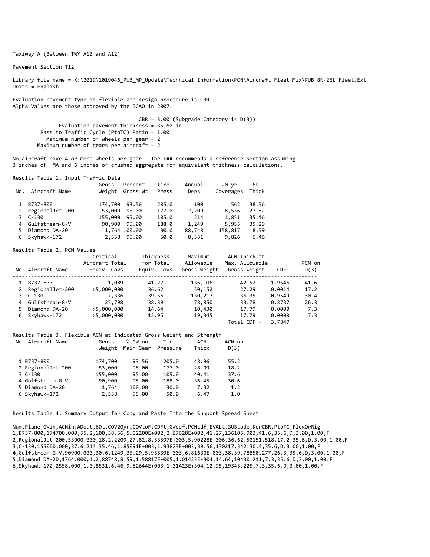Taxiway A (Between TWY A10 and A12)

Pavement Section T12

Library file name = K:\2019\1019046\_PUB\_MP\_Update\Technical Information\PCN\Aircraft Fleet Mix\PUB 8R-26L Fleet.Ext Units = English

Evaluation pavement type is flexible and design procedure is CBR. Alpha Values are those approved by the ICAO in 2007.

> CBR = 3.00 (Subgrade Category is D(3)) Evaluation pavement thickness = 35.60 in Pass to Traffic Cycle (PtoTC) Ratio = 1.00 Maximum number of wheels per gear = 2 Maximum number of gears per aircraft = 2

No aircraft have 4 or more wheels per gear. The FAA recommends a reference section assuming 3 inches of HMA and 6 inches of crushed aggregate for equivalent thickness calculations.

Results Table 1. Input Traffic Data

| No. | Aircraft Name   | Gross<br>Weight | Percent<br>Gross Wt | Tire<br>Press | Annual<br>Deps | 20-yr<br>Coverages | 6D<br>Thick |
|-----|-----------------|-----------------|---------------------|---------------|----------------|--------------------|-------------|
|     | B737-800        | 174,700         | 93.56               | 205.0         | 100            | 562                | 38.56       |
| 2   | RegionalJet-200 | 53,000          | 95.00               | 177.0         | 2,209          | 8,536              | 27.82       |
|     | $3C-130$        | 155,000         | 95.00               | 105.0         | 214            | 1,851              | 35.46       |
| 4   | Gulfstream-G-V  | 90,900          | 95.00               | 188.0         | 1,249          | 5,955              | 35.29       |
|     | Diamond DA-20   |                 | 1,764 100.00        | 30.0          | 88,748         | 158,817            | 8.59        |
| 6   | Skyhawk-172     |                 | 2,558 95.00         | 50.0          | 8,531          | 9,826              | 6.46        |

#### Results Table 2. PCN Values

|    | No. Aircraft Name | Critical<br>Aircraft Total<br>Equiv. Covs. | Thickness<br>for Total<br>Equiv. Covs. | Maximum<br>Allowable<br>Gross Weight | ACN Thick at<br>Max. Allowable<br>Gross Weight | <b>CDF</b> | PCN on<br>D(3) |
|----|-------------------|--------------------------------------------|----------------------------------------|--------------------------------------|------------------------------------------------|------------|----------------|
|    | B737-800          | 1,089                                      | 41.27                                  | 136,106                              | 42.52                                          | 1.9546     | 41.6           |
|    | 2 RegionalJet-200 | >5,000,000                                 | 36.62                                  | 50,152                               | 27.29                                          | 0.0014     | 17.2           |
|    | 3 C-130           | 7,336                                      | 39.56                                  | 130,217                              | 36.35                                          | 0.9549     | 30.4           |
|    | 4 Gulfstream-G-V  | 25,798                                     | 38.39                                  | 78,850                               | 33.78                                          | 0.8737     | 26.3           |
| 5. | Diamond DA-20     | >5,000,000                                 | 14.64                                  | 10,430                               | 17.79                                          | 0.0000     | 7.3            |
|    | 6 Skyhawk-172     | >5,000,000                                 | 12.95                                  | 19,345                               | 17.79                                          | 0.0000     | 7.3            |
|    |                   |                                            |                                        |                                      | $Total$ CDF =                                  | 3.7847     |                |

#### Results Table 3. Flexible ACN at Indicated Gross Weight and Strength

| No. Aircraft Name | Gross<br>Weight | % GW on<br>Main Gear | Tire<br>Pressure | ACN<br>Thick | ACN on<br>D(3) |
|-------------------|-----------------|----------------------|------------------|--------------|----------------|
| 1 B737-800        | 174,700         | 93.56                | 205.0            | 48.96        | 55.2           |
| 2 RegionalJet-200 | 53,000          | 95.00                | 177.0            | 28.09        | 18.2           |
| $3C-130$          | 155,000         | 95.00                | 105.0            | 40.41        | 37.6           |
| 4 Gulfstream-G-V  | 90,900          | 95.00                | 188.0            | 36.45        | 30.6           |
| 5 Diamond DA-20   | 1,764           | 100.00               | 30.0             | 7.32         | 1.2            |
| 6 Skyhawk-172     | 2,558           | 95.00                | 50.0             | 6.47         | 1.0            |

Results Table 4. Summary Output for Copy and Paste Into the Support Spread Sheet

Num,Plane,GWin,ACNin,ADout,6Dt,COV20yr,COVtoF,CDFt,GWcdf,PCNcdf,EVALt,SUBcode,KorCBR,PtoTC,FlexOrRig 1,B737‐800,174700.000,55.2,100,38.56,5.62200E+002,2.87628E+002,41.27,136105.903,41.6,35.6,D,3.00,1.00,F 2,RegionalJet‐200,53000.000,18.2,2209,27.82,8.53597E+003,5.90228E+006,36.62,50151.518,17.2,35.6,D,3.00,1.00,F 3,C‐130,155000.000,37.6,214,35.46,1.85091E+003,1.93823E+003,39.56,130217.342,30.4,35.6,D,3.00,1.00,F 4,Gulfstream‐G‐V,90900.000,30.6,1249,35.29,5.95539E+003,6.81630E+003,38.39,78850.277,26.3,35.6,D,3.00,1.00,F 5,Diamond DA‐20,1764.000,1.2,88748,8.59,1.58817E+005,1.01423E+304,14.64,10430.211,7.3,35.6,D,3.00,1.00,F 6,Skyhawk‐172,2558.000,1.0,8531,6.46,9.82644E+003,1.01423E+304,12.95,19345.225,7.3,35.6,D,3.00,1.00,F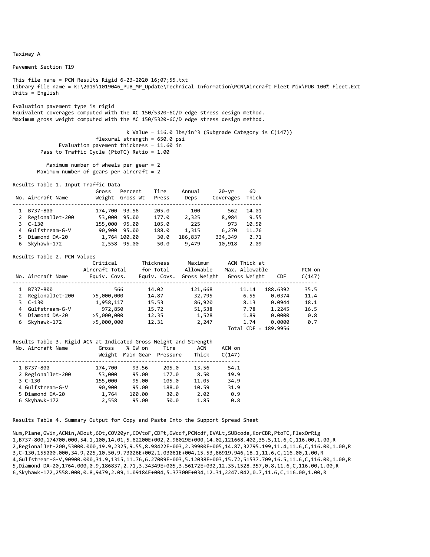Pavement Section T19

This file name = PCN Results Rigid 6‐23‐2020 16;07;55.txt Library file name = K:\2019\1019046\_PUB\_MP\_Update\Technical Information\PCN\Aircraft Fleet Mix\PUB 100% Fleet.Ext Units = English

Evaluation pavement type is rigid Equivalent coverages computed with the AC 150/5320‐6C/D edge stress design method. Maximum gross weight computed with the AC 150/5320‐6C/D edge stress design method.

 k Value = 116.0 lbs/in^3 (Subgrade Category is C(147)) flexural strength = 650.0 psi Evaluation pavement thickness = 11.60 in Pass to Traffic Cycle (PtoTC) Ratio = 1.00

```
           Maximum number of wheels per gear = 2
Maximum number of gears per aircraft = 2
```
Results Table 1. Input Traffic Data

|   | No. Aircraft Name | Gross<br>Weight | Percent<br>Gross Wt | Tire<br>Press | Annual<br>Deps | 20-yr<br>Coverages | 6D<br>Thick |
|---|-------------------|-----------------|---------------------|---------------|----------------|--------------------|-------------|
|   | B737-800          | 174,700         | 93.56               | 205.0         | 100            | 562                | 14.01       |
| 2 | RegionalJet-200   | 53,000          | 95.00               | 177.0         | 2,325          | 8,984              | 9.55        |
|   | 3 C-130           | 155,000         | 95.00               | 105.0         | 225            | 973                | 10.50       |
|   | 4 Gulfstream-G-V  |                 | 90,900 95.00        | 188.0         | 1,315          | 6,270              | 11.76       |
|   | Diamond DA-20     |                 | 1,764 100.00        | 30.0          | 186,837        | 334,349            | 2.71        |
|   | Skyhawk-172       |                 | 2,558 95.00         | 50.0          | 9,479          | 10,918             | 2.09        |

#### Results Table 2. PCN Values

|              | No. Aircraft Name | Critical<br>Aircraft Total<br>Equiv. Covs. | Thickness<br>for Total<br>Equiv. Covs. | Maximum<br>Allowable<br>Gross Weight | ACN Thick at<br>Max. Allowable<br>Gross Weight | <b>CDF</b> | PCN on<br>C(147) |
|--------------|-------------------|--------------------------------------------|----------------------------------------|--------------------------------------|------------------------------------------------|------------|------------------|
|              | B737-800          | 566                                        | 14.02                                  | 121,668                              | 11.14                                          | 188.6392   | 35.5             |
| $\mathbf{2}$ | RegionalJet-200   | >5,000,000                                 | 14.87                                  | 32,795                               | 6.55                                           | 0.0374     | 11.4             |
|              | $3 \quad C-130$   | 1,958,117                                  | 15.53                                  | 86,920                               | 8.13                                           | 0.0944     | 18.1             |
|              | 4 Gulfstream-G-V  | 972,850                                    | 15.72                                  | 51,538                               | 7.78                                           | 1.2245     | 16.5             |
| 5.           | Diamond DA-20     | >5,000,000                                 | 12.35                                  | 1,528                                | 1.89                                           | 0.0000     | 0.8              |
| 6            | Skyhawk-172       | >5,000,000                                 | 12.31                                  | 2,247                                | 1.74                                           | 0.0000     | 0.7              |
|              |                   |                                            |                                        |                                      | Total CDF = 189.9956                           |            |                  |

#### Results Table 3. Rigid ACN at Indicated Gross Weight and Strength

| No. Aircraft Name | Gross<br>Weight | % GW on<br>Main Gear | Tire<br>Pressure | ACN<br>Thick | ACN on<br>C(147) |
|-------------------|-----------------|----------------------|------------------|--------------|------------------|
| 1 B737-800        | 174,700         | 93.56                | 205.0            | 13.56        | 54.1             |
| 2 RegionalJet-200 | 53,000          | 95.00                | 177.0            | 8.50         | 19.9             |
| $3C-130$          | 155,000         | 95.00                | 105.0            | 11.05        | 34.9             |
| 4 Gulfstream-G-V  | 90,900          | 95.00                | 188.0            | 10.59        | 31.9             |
| 5 Diamond DA-20   | 1,764           | 100.00               | 30.0             | 2.02         | 0.9              |
| 6 Skyhawk-172     | 2,558           | 95.00                | 50.0             | 1.85         | 0.8              |
|                   |                 |                      |                  |              |                  |

Results Table 4. Summary Output for Copy and Paste Into the Support Spread Sheet

Num,Plane,GWin,ACNin,ADout,6Dt,COV20yr,COVtoF,CDFt,GWcdf,PCNcdf,EVALt,SUBcode,KorCBR,PtoTC,FlexOrRig 1,B737‐800,174700.000,54.1,100,14.01,5.62200E+002,2.98029E+000,14.02,121668.402,35.5,11.6,C,116.00,1.00,R 2,RegionalJet‐200,53000.000,19.9,2325,9.55,8.98422E+003,2.39900E+005,14.87,32795.199,11.4,11.6,C,116.00,1.00,R 3,C‐130,155000.000,34.9,225,10.50,9.73026E+002,1.03061E+004,15.53,86919.946,18.1,11.6,C,116.00,1.00,R 4,Gulfstream‐G‐V,90900.000,31.9,1315,11.76,6.27009E+003,5.12038E+003,15.72,51537.709,16.5,11.6,C,116.00,1.00,R 5,Diamond DA‐20,1764.000,0.9,186837,2.71,3.34349E+005,3.56172E+032,12.35,1528.357,0.8,11.6,C,116.00,1.00,R 6,Skyhawk‐172,2558.000,0.8,9479,2.09,1.09184E+004,5.37300E+034,12.31,2247.042,0.7,11.6,C,116.00,1.00,R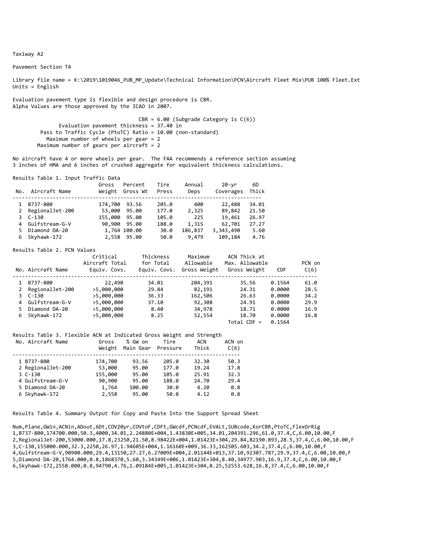Pavement Section T4

Library file name = K:\2019\1019046 PUB MP Update\Technical Information\PCN\Aircraft Fleet Mix\PUB 100% Fleet.Ext Units = English

Evaluation pavement type is flexible and design procedure is CBR. Alpha Values are those approved by the ICAO in 2007.

> $CBR = 6.00$  (Subgrade Category is  $C(6)$ ) Evaluation pavement thickness = 37.40 in Pass to Traffic Cycle (PtoTC) Ratio = 10.00 (non‐standard) Maximum number of wheels per gear = 2 Maximum number of gears per aircraft = 2

No aircraft have 4 or more wheels per gear. The FAA recommends a reference section assuming 3 inches of HMA and 6 inches of crushed aggregate for equivalent thickness calculations.

Results Table 1. Input Traffic Data

| No. | Aircraft Name    | Gross         | Percent<br>Weight Gross Wt | Tire<br>Press | Annual<br>Deps | 20-yr<br>Coverages | 6D<br>Thick |
|-----|------------------|---------------|----------------------------|---------------|----------------|--------------------|-------------|
|     | B737-800         | 174,700 93.56 |                            | 205.0         | 400            | 22,488             | 34.01       |
| 2   | RegionalJet-200  | 53,000        | 95.00                      | 177.0         | 2,325          | 89,842             | 21.50       |
|     | $3C-130$         | 155,000 95.00 |                            | 105.0         | 225            | 19,461             | 26.97       |
|     | 4 Gulfstream-G-V |               | 90,900 95.00               | 188.0         | 1,315          | 62,701             | 27.27       |
|     | Diamond DA-20    |               | 1,764 100.00               | 30.0          | 186,837        | 3,343,490          | 5.60        |
|     | Skyhawk-172      |               | 2,558 95.00                | 50.0          | 9,479          | 109,184            | 4.76        |

#### Results Table 2. PCN Values

|    | No. Aircraft Name | Critical<br>Aircraft Total<br>Equiv. Covs. | Thickness<br>for Total<br>Equiv. Covs. | Maximum<br>Allowable<br>Gross Weight | ACN Thick at<br>Max. Allowable<br>Gross Weight | <b>CDF</b> | PCN on<br>C(6) |
|----|-------------------|--------------------------------------------|----------------------------------------|--------------------------------------|------------------------------------------------|------------|----------------|
|    | B737-800          | 22,490                                     | 34.01                                  | 204,391                              | 35.56                                          | 0.1564     | 61.0           |
| 2  | RegionalJet-200   | >5,000,000                                 | 29.84                                  | 82,191                               | 24.31                                          | 0.0000     | 28.5           |
|    | 3 C-130           | >5,000,000                                 | 36.33                                  | 162,506                              | 26.63                                          | 0.0000     | 34.2           |
|    | 4 Gulfstream-G-V  | >5,000,000                                 | 37.10                                  | 92,308                               | 24.91                                          | 0.0000     | 29.9           |
| 5. | Diamond DA-20     | >5,000,000                                 | 8.40                                   | 34,978                               | 18.71                                          | 0.0000     | 16.9           |
|    | 6 Skyhawk-172     | >5,000,000                                 | 8.25                                   | 52,554                               | 18.70                                          | 0.0000     | 16.8           |
|    |                   |                                            |                                        |                                      | $Total$ CDF =                                  | 0.1564     |                |

#### Results Table 3. Flexible ACN at Indicated Gross Weight and Strength

| Gross<br>Weight | % GW on<br>Main Gear | Tire<br>Pressure | ACN<br>Thick | ACN on<br>C(6) |
|-----------------|----------------------|------------------|--------------|----------------|
| 174,700         | 93.56                | 205.0            | 32.30        | 50.3           |
| 53,000          | 95.00                | 177.0            | 19.24        | 17.8           |
| 155,000         | 95.00                | 105.0            | 25.91        | 32.3           |
| 90,900          | 95.00                | 188.0            | 24.70        | 29.4           |
| 1,764           | 100.00               | 30.0             | 4.20         | 0.8            |
| 2,558           | 95.00                | 50.0             | 4.12         | 0.8            |
|                 |                      |                  |              |                |

Results Table 4. Summary Output for Copy and Paste Into the Support Spread Sheet

Num,Plane,GWin,ACNin,ADout,6Dt,COV20yr,COVtoF,CDFt,GWcdf,PCNcdf,EVALt,SUBcode,KorCBR,PtoTC,FlexOrRig 1,B737‐800,174700.000,50.3,4000,34.01,2.24880E+004,1.43830E+005,34.01,204391.296,61.0,37.4,C,6.00,10.00,F 2,RegionalJet‐200,53000.000,17.8,23250,21.50,8.98422E+004,1.01423E+304,29.84,82190.893,28.5,37.4,C,6.00,10.00,F 3,C‐130,155000.000,32.3,2250,26.97,1.94605E+004,1.16160E+009,36.33,162505.603,34.2,37.4,C,6.00,10.00,F 4,Gulfstream‐G‐V,90900.000,29.4,13150,27.27,6.27009E+004,2.01144E+013,37.10,92307.787,29.9,37.4,C,6.00,10.00,F 5,Diamond DA‐20,1764.000,0.8,1868370,5.60,3.34349E+006,1.01423E+304,8.40,34977.903,16.9,37.4,C,6.00,10.00,F 6,Skyhawk‐172,2558.000,0.8,94790,4.76,1.09184E+005,1.01423E+304,8.25,52553.628,16.8,37.4,C,6.00,10.00,F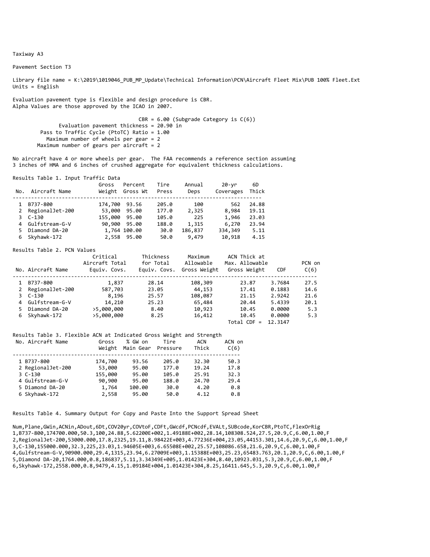Pavement Section T3

Library file name = K:\2019\1019046 PUB MP Update\Technical Information\PCN\Aircraft Fleet Mix\PUB 100% Fleet.Ext Units = English

Evaluation pavement type is flexible and design procedure is CBR. Alpha Values are those approved by the ICAO in 2007.

> $CBR = 6.00$  (Subgrade Category is  $C(6)$ ) Evaluation pavement thickness = 20.90 in Pass to Traffic Cycle (PtoTC) Ratio = 1.00 Maximum number of wheels per gear = 2 Maximum number of gears per aircraft = 2

No aircraft have 4 or more wheels per gear. The FAA recommends a reference section assuming 3 inches of HMA and 6 inches of crushed aggregate for equivalent thickness calculations.

Results Table 1. Input Traffic Data

| No. | Aircraft Name    | Gross   | Percent<br>Weight Gross Wt | Tire<br>Press | Annual<br>Deps | 20-yr<br>Coverages | 6D<br>Thick |
|-----|------------------|---------|----------------------------|---------------|----------------|--------------------|-------------|
|     | B737-800         | 174,700 | 93.56                      | 205.0         | 100            | 562                | 24.88       |
| 2   | RegionalJet-200  | 53,000  | 95.00                      | 177.0         | 2,325          | 8,984              | 19.11       |
|     | $3C-130$         | 155,000 | 95.00                      | 105.0         | 225            | 1,946              | 23.03       |
|     | 4 Gulfstream-G-V |         | 90,900 95.00               | 188.0         | 1,315          | 6,270              | 23.94       |
|     | Diamond DA-20    |         | 1,764 100.00               | 30.0          | 186,837        | 334,349            | 5.11        |
| 6   | Skyhawk-172      |         | 2,558 95.00                | 50.0          | 9,479          | 10,918             | 4.15        |

#### Results Table 2. PCN Values

|    | No. Aircraft Name | Critical<br>Aircraft Total<br>Equiv. Covs. | Thickness<br>for Total<br>Equiv. Covs. | Maximum<br>Allowable<br>Gross Weight | ACN Thick at<br>Max. Allowable<br>Gross Weight | <b>CDF</b> | PCN on<br>C(6) |
|----|-------------------|--------------------------------------------|----------------------------------------|--------------------------------------|------------------------------------------------|------------|----------------|
|    | B737-800          | 1,837                                      | 28.14                                  | 108,309                              | 23.87                                          | 3.7684     | 27.5           |
|    | 2 RegionalJet-200 | 587,703                                    | 23.05                                  | 44,153                               | 17.41                                          | 0.1883     | 14.6           |
|    | 3 C-130           | 8,196                                      | 25.57                                  | 108,087                              | 21.15                                          | 2.9242     | 21.6           |
|    | 4 Gulfstream-G-V  | 14,210                                     | 25.23                                  | 65,484                               | 20.44                                          | 5.4339     | 20.1           |
| 5. | Diamond DA-20     | >5,000,000                                 | 8.40                                   | 10,923                               | 10.45                                          | 0.0000     | 5.3            |
|    | 6 Skyhawk-172     | >5,000,000                                 | 8.25                                   | 16,412                               | 10.45                                          | 0.0000     | 5.3            |
|    |                   |                                            |                                        |                                      | $Total$ CDF =                                  | 12.3147    |                |

#### Results Table 3. Flexible ACN at Indicated Gross Weight and Strength

| Gross<br>Weight | % GW on<br>Main Gear | Tire<br>Pressure | ACN<br>Thick | ACN on<br>C(6) |
|-----------------|----------------------|------------------|--------------|----------------|
| 174,700         | 93.56                | 205.0            | 32.30        | 50.3           |
| 53,000          | 95.00                | 177.0            | 19.24        | 17.8           |
| 155,000         | 95.00                | 105.0            | 25.91        | 32.3           |
| 90,900          | 95.00                | 188.0            | 24.70        | 29.4           |
| 1,764           | 100.00               | 30.0             | 4.20         | 0.8            |
| 2,558           | 95.00                | 50.0             | 4.12         | 0.8            |
|                 |                      |                  |              |                |

Results Table 4. Summary Output for Copy and Paste Into the Support Spread Sheet

Num,Plane,GWin,ACNin,ADout,6Dt,COV20yr,COVtoF,CDFt,GWcdf,PCNcdf,EVALt,SUBcode,KorCBR,PtoTC,FlexOrRig 1,B737‐800,174700.000,50.3,100,24.88,5.62200E+002,1.49188E+002,28.14,108308.524,27.5,20.9,C,6.00,1.00,F 2,RegionalJet‐200,53000.000,17.8,2325,19.11,8.98422E+003,4.77236E+004,23.05,44153.301,14.6,20.9,C,6.00,1.00,F 3,C‐130,155000.000,32.3,225,23.03,1.94605E+003,6.65508E+002,25.57,108086.658,21.6,20.9,C,6.00,1.00,F 4,Gulfstream‐G‐V,90900.000,29.4,1315,23.94,6.27009E+003,1.15388E+003,25.23,65483.763,20.1,20.9,C,6.00,1.00,F 5,Diamond DA‐20,1764.000,0.8,186837,5.11,3.34349E+005,1.01423E+304,8.40,10923.031,5.3,20.9,C,6.00,1.00,F 6,Skyhawk‐172,2558.000,0.8,9479,4.15,1.09184E+004,1.01423E+304,8.25,16411.645,5.3,20.9,C,6.00,1.00,F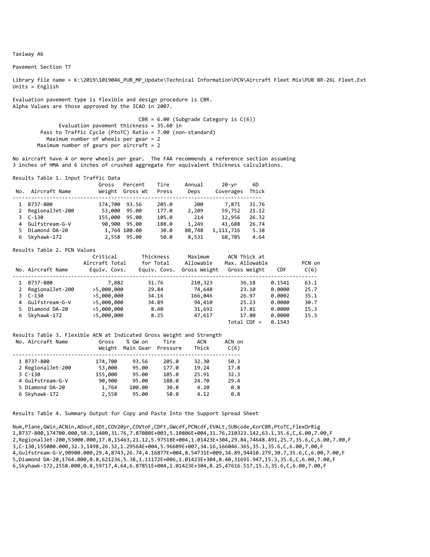Pavement Section T7

Library file name = K:\2019\1019046\_PUB\_MP\_Update\Technical Information\PCN\Aircraft Fleet Mix\PUB 8R-26L Fleet.Ext Units = English

Evaluation pavement type is flexible and design procedure is CBR. Alpha Values are those approved by the ICAO in 2007.

> $CBR = 6.00$  (Subgrade Category is  $C(6)$ ) Evaluation pavement thickness = 35.60 in Pass to Traffic Cycle (PtoTC) Ratio = 7.00 (non-standard) Maximum number of wheels per gear = 2 Maximum number of gears per aircraft =  $2$

No aircraft have 4 or more wheels per gear. The FAA recommends a reference section assuming 3 inches of HMA and 6 inches of crushed aggregate for equivalent thickness calculations.

Results Table 1. Input Traffic Data

| No. | Aircraft Name   | Gross<br>Weight | Percent<br>Gross Wt | Tire<br>Press | Annual<br>Deps | 20-yr<br>Coverages | 6D<br>Thick |
|-----|-----------------|-----------------|---------------------|---------------|----------------|--------------------|-------------|
|     | B737-800        | 174,700         | 93.56               | 205.0         | 200            | 7.871              | 31.76       |
| 2   | RegionalJet-200 | 53,000          | 95.00               | 177.0         | 2,209          | 59,752             | 21.12       |
|     | 3 C-130         | 155,000 95.00   |                     | 105.0         | 214            | 12,956             | 26.32       |
| 4   | Gulfstream-G-V  |                 | 90,900 95.00        | 188.0         | 1,249          | 41,688             | 26.74       |
|     | Diamond DA-20   |                 | 1,764 100.00        | 30.0          | 88,748         | 1,111,716          | 5.38        |
| 6.  | Skyhawk-172     |                 | 2,558 95.00         | 50.0          | 8,531          | 68,785             | 4.64        |

#### Results Table 2. PCN Values

|    | No. Aircraft Name | Critical<br>Aircraft Total<br>Equiv. Covs. | Thickness<br>for Total<br>Equiv. Covs. | Maximum<br>Allowable<br>Gross Weight | ACN Thick at<br>Max. Allowable<br>Gross Weight | <b>CDF</b> | PCN on<br>C(6) |
|----|-------------------|--------------------------------------------|----------------------------------------|--------------------------------------|------------------------------------------------|------------|----------------|
|    | B737-800          | 7,882                                      | 31.76                                  | 210,323                              | 36.18                                          | 0.1541     | 63.1           |
| 2  | RegionalJet-200   | >5,000,000                                 | 29.84                                  | 74,648                               | 23.10                                          | 0.0000     | 25.7           |
|    | 3 C-130           | >5,000,000                                 | 34.16                                  | 166,046                              | 26.97                                          | 0.0002     | 35.1           |
|    | 4 Gulfstream-G-V  | >5,000,000                                 | 34.89                                  | 94,410                               | 25.23                                          | 0.0000     | 30.7           |
| 5. | Diamond DA-20     | >5,000,000                                 | 8.40                                   | 31,692                               | 17.81                                          | 0.0000     | 15.3           |
|    | 6 Skyhawk-172     | >5,000,000                                 | 8.25                                   | 47,617                               | 17.80                                          | 0.0000     | 15.3           |
|    |                   |                                            |                                        |                                      | $Total$ CDF =                                  | 0.1543     |                |

#### Results Table 3. Flexible ACN at Indicated Gross Weight and Strength

| No. Aircraft Name | Gross<br>Weight | % GW on<br>Main Gear | Tire<br>Pressure | ACN<br>Thick | ACN on<br>C(6) |
|-------------------|-----------------|----------------------|------------------|--------------|----------------|
| 1 B737-800        | 174,700         | 93.56                | 205.0            | 32.30        | 50.3           |
| 2 RegionalJet-200 | 53,000          | 95.00                | 177.0            | 19.24        | 17.8           |
| $3C-130$          | 155,000         | 95.00                | 105.0            | 25.91        | 32.3           |
| 4 Gulfstream-G-V  | 90,900          | 95.00                | 188.0            | 24.70        | 29.4           |
| 5 Diamond DA-20   | 1,764           | 100.00               | 30.0             | 4.20         | 0.8            |
| 6 Skyhawk-172     | 2,558           | 95.00                | 50.0             | 4.12         | 0.8            |

Results Table 4. Summary Output for Copy and Paste Into the Support Spread Sheet

Num,Plane,GWin,ACNin,ADout,6Dt,COV20yr,COVtoF,CDFt,GWcdf,PCNcdf,EVALt,SUBcode,KorCBR,PtoTC,FlexOrRig 1,B737‐800,174700.000,50.3,1400,31.76,7.87080E+003,5.10806E+004,31.76,210323.142,63.1,35.6,C,6.00,7.00,F 2,RegionalJet‐200,53000.000,17.8,15463,21.12,5.97518E+004,1.01423E+304,29.84,74648.491,25.7,35.6,C,6.00,7.00,F 3,C‐130,155000.000,32.3,1498,26.32,1.29564E+004,5.96609E+007,34.16,166046.365,35.1,35.6,C,6.00,7.00,F 4,Gulfstream‐G‐V,90900.000,29.4,8743,26.74,4.16877E+004,8.54731E+009,34.89,94410.279,30.7,35.6,C,6.00,7.00,F 5,Diamond DA‐20,1764.000,0.8,621236,5.38,1.11172E+006,1.01423E+304,8.40,31691.947,15.3,35.6,C,6.00,7.00,F 6,Skyhawk‐172,2558.000,0.8,59717,4.64,6.87851E+004,1.01423E+304,8.25,47616.517,15.3,35.6,C,6.00,7.00,F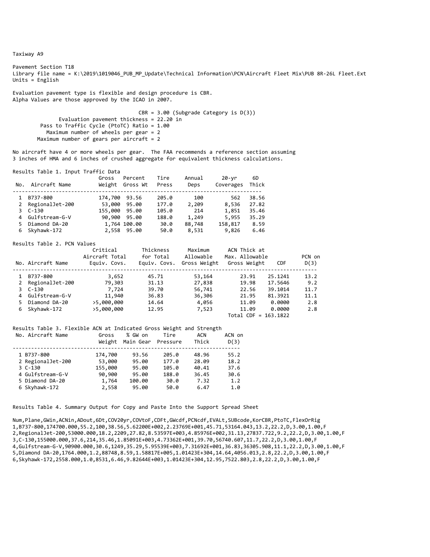Pavement Section T18 Library file name = K:\2019\1019046\_PUB\_MP\_Update\Technical Information\PCN\Aircraft Fleet Mix\PUB 8R-26L Fleet.Ext Units  $=$  English

Evaluation pavement type is flexible and design procedure is CBR. Alpha Values are those approved by the ICAO in 2007.

> CBR = 3.00 (Subgrade Category is D(3)) Evaluation pavement thickness = 22.20 in Pass to Traffic Cycle (PtoTC) Ratio = 1.00 Maximum number of wheels per gear = 2 Maximum number of gears per aircraft =  $2$

No aircraft have 4 or more wheels per gear. The FAA recommends a reference section assuming 3 inches of HMA and 6 inches of crushed aggregate for equivalent thickness calculations.

Results Table 1. Input Traffic Data

| No. | Aircraft Name     | Gross<br>Weight | Percent<br>Gross Wt | Tire<br>Press | Annual<br>Deps | 20-vr<br>Coverages | 6D<br>Thick |
|-----|-------------------|-----------------|---------------------|---------------|----------------|--------------------|-------------|
|     | B737-800          | 174,700         | 93.56               | 205.0         | 100            | 562                | 38.56       |
|     | 2 RegionalJet-200 | 53,000          | 95.00               | 177.0         | 2,209          | 8,536              | 27.82       |
|     | 3 C-130           | 155,000         | 95.00               | 105.0         | 214            | 1,851              | 35.46       |
|     | 4 Gulfstream-G-V  |                 | 90,900 95.00        | 188.0         | 1,249          | 5,955              | 35.29       |
|     | Diamond DA-20     |                 | 1,764 100.00        | 30.0          | 88,748         | 158,817            | 8.59        |
|     | Skyhawk-172       |                 | 2,558 95.00         | 50.0          | 8,531          | 9,826              | 6.46        |

#### Results Table 2. PCN Values

|    | No. Aircraft Name | Critical<br>Aircraft Total<br>Equiv. Covs. | Thickness<br>for Total<br>Equiv. Covs. | Maximum<br>Allowable<br>Gross Weight | ACN Thick at<br>Max. Allowable<br>Gross Weight | <b>CDF</b> | PCN on<br>D(3) |
|----|-------------------|--------------------------------------------|----------------------------------------|--------------------------------------|------------------------------------------------|------------|----------------|
|    | B737-800          | 3,652                                      | 45.71                                  | 53,164                               | 23.91                                          | 25.1241    | 13.2           |
|    | 2 RegionalJet-200 | 79,303                                     | 31.13                                  | 27,838                               | 19.98                                          | 17.5646    | 9.2            |
|    | 3 C-130           | 7,724                                      | 39.70                                  | 56,741                               | 22.56                                          | 39.1014    | 11.7           |
|    | 4 Gulfstream-G-V  | 11,940                                     | 36.83                                  | 36,306                               | 21.95                                          | 81.3921    | 11.1           |
| 5. | Diamond DA-20     | >5,000,000                                 | 14.64                                  | 4,056                                | 11.09                                          | 0.0000     | 2.8            |
|    | 6 Skyhawk-172     | >5,000,000                                 | 12.95                                  | 7,523                                | 11.09                                          | 0.0000     | 2.8            |
|    |                   |                                            |                                        |                                      | Total CDF = 163.1822                           |            |                |

#### Results Table 3. Flexible ACN at Indicated Gross Weight and Strength No. Aircraft Name Gross % GW on Tire ACN ACN on

| <b>NU. ALILICIAL NAMC</b> | u uss<br>Weight | <b>70 UW UII</b><br>Main Gear Pressure | 1 1 1 E | <b>ALIV</b><br>Thick | ALIV UIL<br>D(3) |
|---------------------------|-----------------|----------------------------------------|---------|----------------------|------------------|
| 1 B737-800                | 174,700         | 93.56                                  | 205.0   | 48.96                | 55.2             |
| 2 RegionalJet-200         | 53,000          | 95.00                                  | 177.0   | 28.09                | 18.2             |
| $3C-130$                  | 155,000         | 95.00                                  | 105.0   | 40.41                | 37.6             |
| 4 Gulfstream-G-V          | 90,900          | 95.00                                  | 188.0   | 36.45                | 30.6             |
| 5 Diamond DA-20           | 1,764           | 100.00                                 | 30.0    | 7.32                 | 1.2              |
| 6 Skyhawk-172             | 2,558           | 95.00                                  | 50.0    | 6.47                 | 1.0              |
|                           |                 |                                        |         |                      |                  |

Results Table 4. Summary Output for Copy and Paste Into the Support Spread Sheet

Num,Plane,GWin,ACNin,ADout,6Dt,COV20yr,COVtoF,CDFt,GWcdf,PCNcdf,EVALt,SUBcode,KorCBR,PtoTC,FlexOrRig 1,B737‐800,174700.000,55.2,100,38.56,5.62200E+002,2.23769E+001,45.71,53164.043,13.2,22.2,D,3.00,1.00,F 2,RegionalJet‐200,53000.000,18.2,2209,27.82,8.53597E+003,4.85976E+002,31.13,27837.722,9.2,22.2,D,3.00,1.00,F 3,C‐130,155000.000,37.6,214,35.46,1.85091E+003,4.73362E+001,39.70,56740.607,11.7,22.2,D,3.00,1.00,F 4,Gulfstream‐G‐V,90900.000,30.6,1249,35.29,5.95539E+003,7.31692E+001,36.83,36305.908,11.1,22.2,D,3.00,1.00,F 5,Diamond DA‐20,1764.000,1.2,88748,8.59,1.58817E+005,1.01423E+304,14.64,4056.013,2.8,22.2,D,3.00,1.00,F 6,Skyhawk‐172,2558.000,1.0,8531,6.46,9.82644E+003,1.01423E+304,12.95,7522.803,2.8,22.2,D,3.00,1.00,F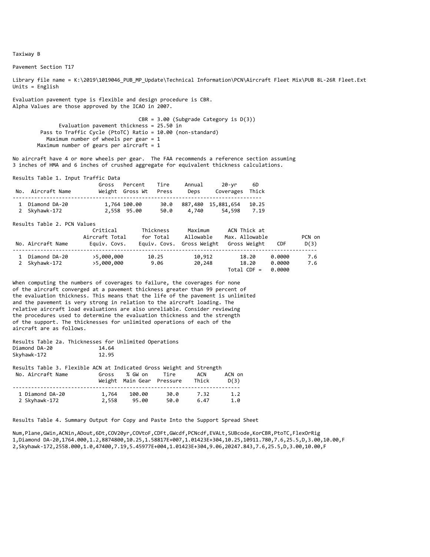Pavement Section T17

Library file name = K:\2019\1019046\_PUB\_MP\_Update\Technical Information\PCN\Aircraft Fleet Mix\PUB 8L-26R Fleet.Ext Units = English

Evaluation pavement type is flexible and design procedure is CBR. Alpha Values are those approved by the ICAO in 2007.

> CBR = 3.00 (Subgrade Category is D(3)) Evaluation pavement thickness = 25.50 in Pass to Traffic Cycle (PtoTC) Ratio = 10.00 (non‐standard) Maximum number of wheels per gear = 1 Maximum number of gears per aircraft =  $1$

No aircraft have 4 or more wheels per gear. The FAA recommends a reference section assuming 3 inches of HMA and 6 inches of crushed aggregate for equivalent thickness calculations.

Results Table 1. Input Traffic Data

| No. Aircraft Name                | Gross Percent<br>Weight Gross Wt Press | Tire         | Annual<br>Deps | 20-yr<br>Coverages Thick     | 6D            |
|----------------------------------|----------------------------------------|--------------|----------------|------------------------------|---------------|
| 1 Diamond DA-20<br>2 Skyhawk-172 | 1,764 100.00<br>2,558 95.00            | 30.0<br>50.0 | 4.740          | 887,480 15,881,654<br>54.598 | 10.25<br>7.19 |

Results Table 2. PCN Values

| No. Aircraft Name              | Critical<br>Aircraft Total<br>Equiv. Covs. | Thickness<br>for Total | Maximum<br>Allowable<br>Equiv. Covs. Gross Weight | ACN Thick at<br>Max. Allowable<br>Gross Weight | <b>CDF</b>                 | PCN on<br>D(3) |
|--------------------------------|--------------------------------------------|------------------------|---------------------------------------------------|------------------------------------------------|----------------------------|----------------|
| Diamond DA-20<br>2 Skyhawk-172 | >5,000,000<br>>5,000,000                   | 10.25<br>9.06          | 10,912<br>20,248                                  | 18.20<br>18.20<br>$Total CDF =$                | 0.0000<br>0.0000<br>0.0000 | 7.6<br>7.6     |

When computing the numbers of coverages to failure, the coverages for none of the aircraft converged at a pavement thickness greater than 99 percent of the evaluation thickness. This means that the life of the pavement is unlimited and the pavement is very strong in relation to the aircraft loading. The relative aircraft load evaluations are also unreliable. Consider reviewing the procedures used to determine the evaluation thickness and the strength of the support. The thicknesses for unlimited operations of each of the aircraft are as follows.

|               |  | Results Table 2a. Thicknesses for Unlimited Operations |       |  |
|---------------|--|--------------------------------------------------------|-------|--|
| Diamond DA-20 |  |                                                        | 14.64 |  |
| Skyhawk-172   |  |                                                        | 12.95 |  |

| Results Table 3. Flexible ACN at Indicated Gross Weight and Strength |       |                           |      |       |        |
|----------------------------------------------------------------------|-------|---------------------------|------|-------|--------|
| No. Aircraft Name                                                    | Gross | % GW on                   | Tire | ACN   | ACN on |
|                                                                      |       | Weight Main Gear Pressure |      | Thick | D(3)   |
| 1 Diamond DA-20                                                      | 1,764 | 100.00                    | 30.0 | 7.32  | 1.2    |
| 2 Skyhawk-172                                                        | 2,558 | 95.00                     | 50.0 | 6.47  | 1.0    |

Results Table 4. Summary Output for Copy and Paste Into the Support Spread Sheet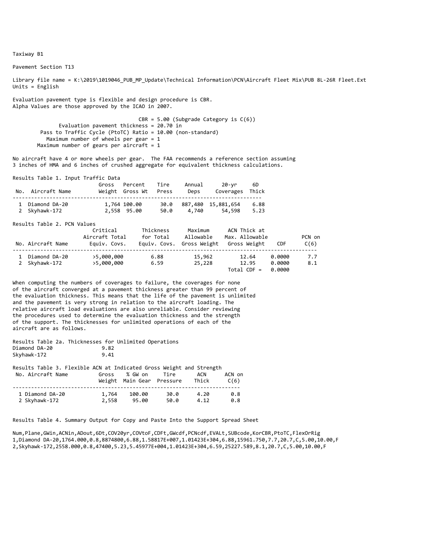Pavement Section T13

Library file name = K:\2019\1019046\_PUB\_MP\_Update\Technical Information\PCN\Aircraft Fleet Mix\PUB 8L-26R Fleet.Ext Units = English

Evaluation pavement type is flexible and design procedure is CBR. Alpha Values are those approved by the ICAO in 2007.

> CBR = 5.00 (Subgrade Category is C(6)) Evaluation pavement thickness = 20.70 in Pass to Traffic Cycle (PtoTC) Ratio = 10.00 (non-standard) Maximum number of wheels per gear = 1 Maximum number of gears per aircraft =  $1$

No aircraft have 4 or more wheels per gear. The FAA recommends a reference section assuming 3 inches of HMA and 6 inches of crushed aggregate for equivalent thickness calculations.

Results Table 1. Input Traffic Data

| No. Aircraft Name                | Gross Percent<br>Weight Gross Wt | Tire<br>Press | Annual<br>Deps | 20-yr<br>Coverages Thick     | -6D          |
|----------------------------------|----------------------------------|---------------|----------------|------------------------------|--------------|
| 1 Diamond DA-20<br>2 Skyhawk-172 | 1,764 100.00<br>2,558 95.00      | 30.0<br>50.0  | 4.740          | 887,480 15,881,654<br>54,598 | 6.88<br>5.23 |

Results Table 2. PCN Values

| No. Aircraft Name              | Critical<br>Aircraft Total<br>Equiv. Covs. | Thickness<br>for Total | Maximum<br>Allowable<br>Equiv. Covs. Gross Weight | ACN Thick at<br>Max. Allowable<br>Gross Weight | CDF                        | PCN on<br>C(6) |
|--------------------------------|--------------------------------------------|------------------------|---------------------------------------------------|------------------------------------------------|----------------------------|----------------|
| Diamond DA-20<br>2 Skyhawk-172 | >5,000,000<br>>5,000,000                   | 6.88<br>6.59           | 15,962<br>25,228                                  | 12.64<br>12.95<br>$Total CDF =$                | 0.0000<br>0.0000<br>0.0000 | 7.7<br>8.1     |

When computing the numbers of coverages to failure, the coverages for none of the aircraft converged at a pavement thickness greater than 99 percent of the evaluation thickness. This means that the life of the pavement is unlimited and the pavement is very strong in relation to the aircraft loading. The relative aircraft load evaluations are also unreliable. Consider reviewing the procedures used to determine the evaluation thickness and the strength of the support. The thicknesses for unlimited operations of each of the aircraft are as follows.

Results Table 2a. Thicknesses for Unlimited Operations<br>Diamond DA-20<br>9.82 Diamond DA‐20 9.82 Skyhawk-172

| Results Table 3. Flexible ACN at Indicated Gross Weight and Strength |       |                           |      |       |        |
|----------------------------------------------------------------------|-------|---------------------------|------|-------|--------|
| No. Aircraft Name                                                    | Gross | % GW on                   | Tire | ACN   | ACN on |
|                                                                      |       | Weight Main Gear Pressure |      | Thick | C(6)   |
| 1 Diamond DA-20                                                      | 1,764 | 100.00                    | 30.0 | 4.20  | 0.8    |
| 2 Skyhawk-172                                                        | 2.558 | 95.00                     | 50.0 | 4.12  | 0.8    |

Results Table 4. Summary Output for Copy and Paste Into the Support Spread Sheet

Num,Plane,GWin,ACNin,ADout,6Dt,COV20yr,COVtoF,CDFt,GWcdf,PCNcdf,EVALt,SUBcode,KorCBR,PtoTC,FlexOrRig 1,Diamond DA‐20,1764.000,0.8,8874800,6.88,1.58817E+007,1.01423E+304,6.88,15961.750,7.7,20.7,C,5.00,10.00,F 2,Skyhawk‐172,2558.000,0.8,47400,5.23,5.45977E+004,1.01423E+304,6.59,25227.589,8.1,20.7,C,5.00,10.00,F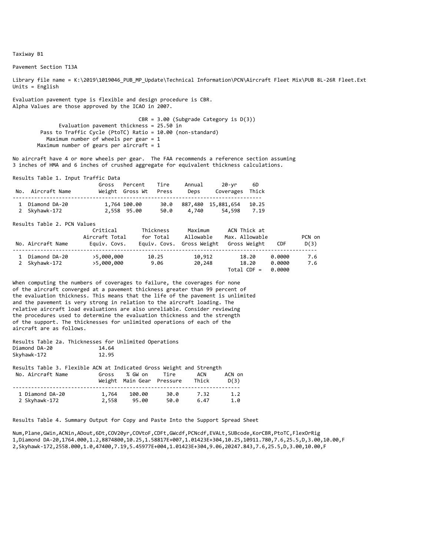Pavement Section T13A

Library file name = K:\2019\1019046\_PUB\_MP\_Update\Technical Information\PCN\Aircraft Fleet Mix\PUB 8L-26R Fleet.Ext Units = English

Evaluation pavement type is flexible and design procedure is CBR. Alpha Values are those approved by the ICAO in 2007.

> CBR = 3.00 (Subgrade Category is D(3)) Evaluation pavement thickness = 25.50 in Pass to Traffic Cycle (PtoTC) Ratio = 10.00 (non‐standard) Maximum number of wheels per gear = 1 Maximum number of gears per aircraft =  $1$

No aircraft have 4 or more wheels per gear. The FAA recommends a reference section assuming 3 inches of HMA and 6 inches of crushed aggregate for equivalent thickness calculations.

Results Table 1. Input Traffic Data

| No. Aircraft Name                | Gross Percent<br>Weight Gross Wt Press | Tire         | Annual<br>Deps | 20-yr<br>Coverages Thick     | - 6D          |
|----------------------------------|----------------------------------------|--------------|----------------|------------------------------|---------------|
| 1 Diamond DA-20<br>2 Skyhawk-172 | 1,764 100.00<br>2,558 95.00            | 30.0<br>50.0 | 4.740          | 887,480 15,881,654<br>54.598 | 10.25<br>7.19 |

Results Table 2. PCN Values

| No. Aircraft Name              | Critical<br>Aircraft Total<br>Equiv. Covs. | Thickness<br>for Total | Maximum<br>Allowable<br>Equiv. Covs. Gross Weight | ACN Thick at<br>Max. Allowable<br>Gross Weight | <b>CDF</b>                 | PCN on<br>D(3) |
|--------------------------------|--------------------------------------------|------------------------|---------------------------------------------------|------------------------------------------------|----------------------------|----------------|
| Diamond DA-20<br>2 Skyhawk-172 | >5,000,000<br>>5,000,000                   | 10.25<br>9.06          | 10.912<br>20,248                                  | 18.20<br>18.20<br>$Total CDF =$                | 0.0000<br>0.0000<br>0.0000 | 7.6<br>7.6     |

When computing the numbers of coverages to failure, the coverages for none of the aircraft converged at a pavement thickness greater than 99 percent of the evaluation thickness. This means that the life of the pavement is unlimited and the pavement is very strong in relation to the aircraft loading. The relative aircraft load evaluations are also unreliable. Consider reviewing the procedures used to determine the evaluation thickness and the strength of the support. The thicknesses for unlimited operations of each of the aircraft are as follows.

|               |  | Results Table 2a. Thicknesses for Unlimited Operations |       |  |
|---------------|--|--------------------------------------------------------|-------|--|
| Diamond DA-20 |  |                                                        | 14.64 |  |
| Skyhawk-172   |  |                                                        | 12.95 |  |

| Results Table 3. Flexible ACN at Indicated Gross Weight and Strength |       |                           |      |       |        |
|----------------------------------------------------------------------|-------|---------------------------|------|-------|--------|
| No. Aircraft Name                                                    | Gross | % GW on                   | Tire | ACN   | ACN on |
|                                                                      |       | Weight Main Gear Pressure |      | Thick | D(3)   |
| 1 Diamond DA-20                                                      | 1,764 | 100.00                    | 30.0 | 7.32  | 1.2    |
| 2 Skyhawk-172                                                        | 2,558 | 95.00                     | 50.0 | 6.47  | 1.0    |

Results Table 4. Summary Output for Copy and Paste Into the Support Spread Sheet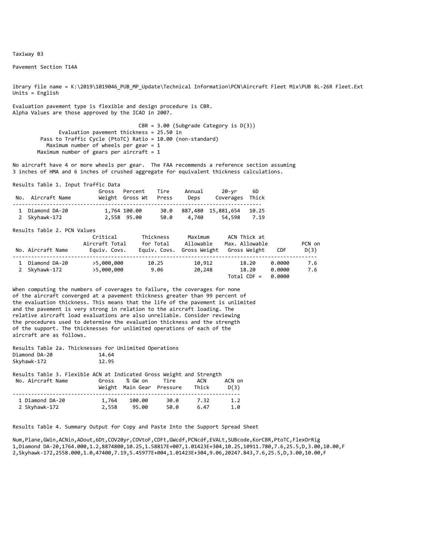Pavement Section T14A

ibrary file name = K:\2019\1019046\_PUB\_MP\_Update\Technical Information\PCN\Aircraft Fleet Mix\PUB 8L‐26R Fleet.Ext Units = English

Evaluation pavement type is flexible and design procedure is CBR. Alpha Values are those approved by the ICAO in 2007.

> CBR = 3.00 (Subgrade Category is D(3)) Evaluation pavement thickness = 25.50 in Pass to Traffic Cycle (PtoTC) Ratio = 10.00 (non-standard) Maximum number of wheels per gear = 1 Maximum number of gears per aircraft =  $1$

No aircraft have 4 or more wheels per gear. The FAA recommends a reference section assuming 3 inches of HMA and 6 inches of crushed aggregate for equivalent thickness calculations.

Results Table 1. Input Traffic Data

| No. Aircraft Name | Gross Percent Tire<br>Weight Gross Wt Press |      | Annual<br>Deps | 20-vr 6D<br>Coverages Thick   |  |
|-------------------|---------------------------------------------|------|----------------|-------------------------------|--|
| 1 Diamond DA-20   | 1,764 100.00                                |      |                | 30.0 887,480 15,881,654 10.25 |  |
| 2 Skyhawk-172     | 2,558 95.00                                 | 50.0 | 4,740          | 54,598 7.19                   |  |

Results Table 2. PCN Values

| No. Aircraft Name              | Critical<br>Aircraft Total<br>Eauiv. Covs. | Thickness<br>for Total<br>Equiv. Covs. | Maximum<br>Allowable<br>Gross Weight | ACN Thick at<br>Max. Allowable<br>Gross Weight | CDF                        | PCN on<br>D(3) |
|--------------------------------|--------------------------------------------|----------------------------------------|--------------------------------------|------------------------------------------------|----------------------------|----------------|
| Diamond DA-20<br>2 Skyhawk-172 | >5,000,000<br>>5,000,000                   | 10.25<br>9.06                          | 10,912<br>20,248                     | 18.20<br>18.20<br>$Total CDE =$                | 0.0000<br>0.0000<br>ค.คคคค | 7.6<br>7.6     |

When computing the numbers of coverages to failure, the coverages for none of the aircraft converged at a pavement thickness greater than 99 percent of the evaluation thickness. This means that the life of the pavement is unlimited and the pavement is very strong in relation to the aircraft loading. The relative aircraft load evaluations are also unreliable. Consider reviewing the procedures used to determine the evaluation thickness and the strength of the support. The thicknesses for unlimited operations of each of the aircraft are as follows.

Results Table 2a. Thicknesses for Unlimited Operations Diamond DA-20 Skyhawk‐172 12.95

| Results Table 3. Flexible ACN at Indicated Gross Weight and Strength |       |                           |      |       |        |
|----------------------------------------------------------------------|-------|---------------------------|------|-------|--------|
| No. Aircraft Name                                                    | Gross | % GW on                   | Tire | ACN   | ACN on |
|                                                                      |       | Weight Main Gear Pressure |      | Thick | D(3)   |
| 1 Diamond DA-20                                                      | 1,764 | 100.00                    | 30.0 | 7.32  | 1.2    |
| 2 Skyhawk-172                                                        | 2,558 | 95.00                     | 50.0 | 6.47  | 1.0    |

Results Table 4. Summary Output for Copy and Paste Into the Support Spread Sheet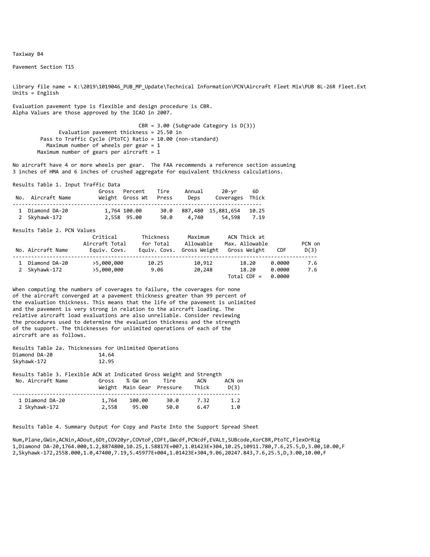Pavement Section T15

Library file name = K:\2019\1019046\_PUB\_MP\_Update\Technical Information\PCN\Aircraft Fleet Mix\PUB 8L-26R Fleet.Ext Units = English

Evaluation pavement type is flexible and design procedure is CBR. Alpha Values are those approved by the ICAO in 2007.

> CBR = 3.00 (Subgrade Category is D(3)) Evaluation pavement thickness = 25.50 in Pass to Traffic Cycle (PtoTC) Ratio = 10.00 (non-standard) Maximum number of wheels per gear = 1 Maximum number of gears per aircraft =  $1$

No aircraft have 4 or more wheels per gear. The FAA recommends a reference section assuming 3 inches of HMA and 6 inches of crushed aggregate for equivalent thickness calculations.

Results Table 1. Input Traffic Data

| No. Aircraft Name | Gross Percent Tire<br>Weight Gross Wt Press |      | Annual<br>Deps | 20-vr 6D<br>Coverages Thick   |  |
|-------------------|---------------------------------------------|------|----------------|-------------------------------|--|
| 1 Diamond DA-20   | 1,764 100.00                                |      |                | 30.0 887,480 15,881,654 10.25 |  |
| 2 Skyhawk-172     | 2,558 95.00                                 | 50.0 | 4,740          | 54,598 7.19                   |  |

Results Table 2. PCN Values

| No. Aircraft Name              | Critical<br>Aircraft Total<br>Eauiv. Covs. | Thickness<br>for Total | Maximum<br>Allowable<br>Equiv. Covs. Gross Weight | ACN Thick at<br>Max. Allowable<br>Gross Weight | CDF                        | PCN on<br>D(3) |
|--------------------------------|--------------------------------------------|------------------------|---------------------------------------------------|------------------------------------------------|----------------------------|----------------|
| Diamond DA-20<br>2 Skyhawk-172 | >5,000,000<br>>5,000,000                   | 10.25<br>9.06          | 10,912<br>20,248                                  | 18.20<br>18.20<br>Total CDF $=$                | 0.0000<br>0.0000<br>ค.คคคค | 7.6<br>7.6     |

When computing the numbers of coverages to failure, the coverages for none of the aircraft converged at a pavement thickness greater than 99 percent of the evaluation thickness. This means that the life of the pavement is unlimited and the pavement is very strong in relation to the aircraft loading. The relative aircraft load evaluations are also unreliable. Consider reviewing the procedures used to determine the evaluation thickness and the strength of the support. The thicknesses for unlimited operations of each of the aircraft are as follows.

Results Table 2a. Thicknesses for Unlimited Operations Diamond DA-20 Skyhawk‐172 12.95

| Results Table 3. Flexible ACN at Indicated Gross Weight and Strength |       |                           |      |       |        |
|----------------------------------------------------------------------|-------|---------------------------|------|-------|--------|
| No. Aircraft Name                                                    | Gross | % GW on                   | Tire | ACN   | ACN on |
|                                                                      |       | Weight Main Gear Pressure |      | Thick | D(3)   |
| 1 Diamond DA-20                                                      | 1,764 | 100.00                    | 30.0 | 7.32  | 1.2    |
| 2 Skyhawk-172                                                        | 2,558 | 95.00                     | 50.0 | 6.47  | 1.0    |

Results Table 4. Summary Output for Copy and Paste Into the Support Spread Sheet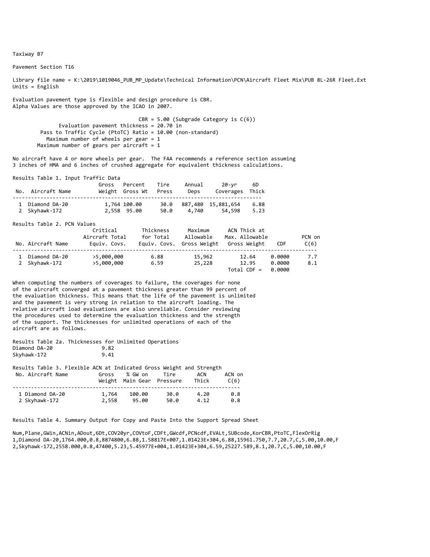Pavement Section T16

Library file name = K:\2019\1019046\_PUB\_MP\_Update\Technical Information\PCN\Aircraft Fleet Mix\PUB 8L-26R Fleet.Ext Units = English

Evaluation pavement type is flexible and design procedure is CBR. Alpha Values are those approved by the ICAO in 2007.

> CBR = 5.00 (Subgrade Category is C(6)) Evaluation pavement thickness = 20.70 in Pass to Traffic Cycle (PtoTC) Ratio = 10.00 (non-standard) Maximum number of wheels per gear = 1 Maximum number of gears per aircraft =  $1$

No aircraft have 4 or more wheels per gear. The FAA recommends a reference section assuming 3 inches of HMA and 6 inches of crushed aggregate for equivalent thickness calculations.

Results Table 1. Input Traffic Data

| No. Aircraft Name                | Gross Percent<br>Weight Gross Wt | Tire<br>Press | Annual<br>Deps | 20-yr<br>Coverages Thick     | -6D          |
|----------------------------------|----------------------------------|---------------|----------------|------------------------------|--------------|
| 1 Diamond DA-20<br>2 Skyhawk-172 | 1,764 100.00<br>2,558 95.00      | 30.0<br>50.0  | 4.740          | 887,480 15,881,654<br>54,598 | 6.88<br>5.23 |

Results Table 2. PCN Values

| No. Aircraft Name              | Critical<br>Aircraft Total<br>Equiv. Covs. | Thickness<br>for Total | Maximum<br>Allowable<br>Equiv. Covs. Gross Weight | ACN Thick at<br>Max. Allowable<br>Gross Weight | CDF                        | PCN on<br>C(6) |
|--------------------------------|--------------------------------------------|------------------------|---------------------------------------------------|------------------------------------------------|----------------------------|----------------|
| Diamond DA-20<br>2 Skyhawk-172 | >5,000,000<br>>5,000,000                   | 6.88<br>6.59           | 15,962<br>25,228                                  | 12.64<br>12.95<br>$Total CDF =$                | 0.0000<br>0.0000<br>0.0000 | 7.7<br>8.1     |

When computing the numbers of coverages to failure, the coverages for none of the aircraft converged at a pavement thickness greater than 99 percent of the evaluation thickness. This means that the life of the pavement is unlimited and the pavement is very strong in relation to the aircraft loading. The relative aircraft load evaluations are also unreliable. Consider reviewing the procedures used to determine the evaluation thickness and the strength of the support. The thicknesses for unlimited operations of each of the aircraft are as follows.

Results Table 2a. Thicknesses for Unlimited Operations<br>Diamond DA-20<br>9.82 Diamond DA‐20 9.82 Skyhawk-172

| Results Table 3. Flexible ACN at Indicated Gross Weight and Strength |       |                           |      |       |        |
|----------------------------------------------------------------------|-------|---------------------------|------|-------|--------|
| No. Aircraft Name                                                    | Gross | % GW on                   | Tire | ACN   | ACN on |
|                                                                      |       | Weight Main Gear Pressure |      | Thick | C(6)   |
| 1 Diamond DA-20                                                      | 1,764 | 100.00                    | 30.0 | 4.20  | 0.8    |
| 2 Skyhawk-172                                                        | 2.558 | 95.00                     | 50.0 | 4.12  | 0.8    |

Results Table 4. Summary Output for Copy and Paste Into the Support Spread Sheet

Num,Plane,GWin,ACNin,ADout,6Dt,COV20yr,COVtoF,CDFt,GWcdf,PCNcdf,EVALt,SUBcode,KorCBR,PtoTC,FlexOrRig 1,Diamond DA‐20,1764.000,0.8,8874800,6.88,1.58817E+007,1.01423E+304,6.88,15961.750,7.7,20.7,C,5.00,10.00,F 2,Skyhawk‐172,2558.000,0.8,47400,5.23,5.45977E+004,1.01423E+304,6.59,25227.589,8.1,20.7,C,5.00,10.00,F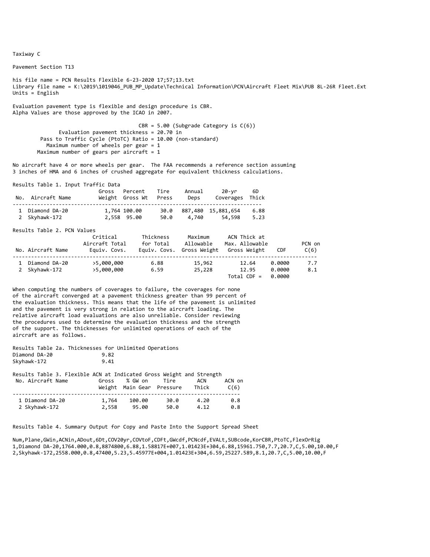Taxiway C

Pavement Section T13

his file name = PCN Results Flexible 6‐23‐2020 17;57;13.txt Library file name = K:\2019\1019046\_PUB\_MP\_Update\Technical Information\PCN\Aircraft Fleet Mix\PUB 8L-26R Fleet.Ext Units  $=$  English

Evaluation pavement type is flexible and design procedure is CBR. Alpha Values are those approved by the ICAO in 2007.

> CBR = 5.00 (Subgrade Category is C(6)) Evaluation pavement thickness = 20.70 in Pass to Traffic Cycle (PtoTC) Ratio = 10.00 (non-standard) Maximum number of wheels per gear = 1 Maximum number of gears per aircraft =  $1$

No aircraft have 4 or more wheels per gear. The FAA recommends a reference section assuming 3 inches of HMA and 6 inches of crushed aggregate for equivalent thickness calculations.

Results Table 1. Input Traffic Data

| No. Aircraft Name                | Gross Percent<br>Weight Gross Wt Press | Tire | Annual<br>Deps | 20-vr<br>Coverages Thick          | 6D           |
|----------------------------------|----------------------------------------|------|----------------|-----------------------------------|--------------|
| 1 Diamond DA-20<br>2 Skyhawk-172 | 1,764 100.00<br>2,558 95.00            | 50.0 | 4,740          | 30.0 887,480 15,881,654<br>54.598 | 6.88<br>5.23 |

Results Table 2. PCN Values

| No. Aircraft Name              | Critical<br>Aircraft Total<br>Eauiv. Covs. | Thickness<br>for Total<br>Equiv. Covs. | Maximum<br>Allowable<br>Gross Weight | ACN Thick at<br>Max. Allowable<br>Gross Weight | CDF                        | PCN on<br>C(6) |
|--------------------------------|--------------------------------------------|----------------------------------------|--------------------------------------|------------------------------------------------|----------------------------|----------------|
| Diamond DA-20<br>2 Skyhawk-172 | >5,000,000<br>>5,000,000                   | 6.88<br>6.59                           | 15,962<br>25,228                     | 12.64<br>12.95<br>$Total CDF =$                | 0.0000<br>0.0000<br>ค.คคคค | 7.7<br>8.1     |

When computing the numbers of coverages to failure, the coverages for none of the aircraft converged at a pavement thickness greater than 99 percent of the evaluation thickness. This means that the life of the pavement is unlimited and the pavement is very strong in relation to the aircraft loading. The relative aircraft load evaluations are also unreliable. Consider reviewing the procedures used to determine the evaluation thickness and the strength of the support. The thicknesses for unlimited operations of each of the aircraft are as follows.

Results Table 2a. Thicknesses for Unlimited Operations<br>Diamond DA-20 9.82 Diamond DA-20 Skyhawk‐172 9.41

| Results Table 3. Flexible ACN at Indicated Gross Weight and Strength |       |                           |      |       |        |
|----------------------------------------------------------------------|-------|---------------------------|------|-------|--------|
| No. Aircraft Name                                                    | Gross | % GW on                   | Tire | ACN   | ACN on |
|                                                                      |       | Weight Main Gear Pressure |      | Thick | C(6)   |
| 1 Diamond DA-20                                                      | 1,764 | 100.00                    | 30.0 | 4.20  | 0.8    |
| 2 Skyhawk-172                                                        | 2,558 | 95.00                     | 50.0 | 4.12  | 0.8    |

Results Table 4. Summary Output for Copy and Paste Into the Support Spread Sheet

Num,Plane,GWin,ACNin,ADout,6Dt,COV20yr,COVtoF,CDFt,GWcdf,PCNcdf,EVALt,SUBcode,KorCBR,PtoTC,FlexOrRig 1,Diamond DA‐20,1764.000,0.8,8874800,6.88,1.58817E+007,1.01423E+304,6.88,15961.750,7.7,20.7,C,5.00,10.00,F 2,Skyhawk‐172,2558.000,0.8,47400,5.23,5.45977E+004,1.01423E+304,6.59,25227.589,8.1,20.7,C,5.00,10.00,F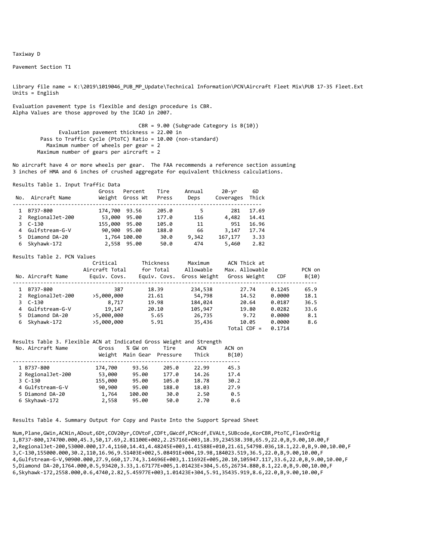Taxiway D

Pavement Section T1

Library file name = K:\2019\1019046\_PUB\_MP\_Update\Technical Information\PCN\Aircraft Fleet Mix\PUB 17‐35 Fleet.Ext Units  $=$  English

Evaluation pavement type is flexible and design procedure is CBR. Alpha Values are those approved by the ICAO in 2007.

> CBR = 9.00 (Subgrade Category is B(10)) Evaluation pavement thickness = 22.00 in Pass to Traffic Cycle (PtoTC) Ratio = 10.00 (non-standard) Maximum number of wheels per gear = 2 Maximum number of gears per aircraft =  $2$

No aircraft have 4 or more wheels per gear. The FAA recommends a reference section assuming 3 inches of HMA and 6 inches of crushed aggregate for equivalent thickness calculations.

Results Table 1. Input Traffic Data

| No. | Aircraft Name    | Gross         | Percent<br>Weight Gross Wt | Tire<br>Press | Annual<br>Deps | 20-yr<br>Coverages | 6D<br>Thick |  |
|-----|------------------|---------------|----------------------------|---------------|----------------|--------------------|-------------|--|
|     | B737-800         | 174,700       | 93.56                      | 205.0         | 5              | 281                | 17.69       |  |
| 2   | RegionalJet-200  | 53,000        | 95.00                      | 177.0         | 116            | 4,482              | 14.41       |  |
|     | $3C-130$         | 155,000 95.00 |                            | 105.0         | 11             | 951                | 16.96       |  |
|     | 4 Gulfstream-G-V |               | 90,900 95.00               | 188.0         | 66             | 3,147              | 17.74       |  |
|     | Diamond DA-20    |               | 1,764 100.00               | 30.0          | 9,342          | 167,177            | 3.33        |  |
|     | Skyhawk-172      |               | 2,558 95.00                | 50.0          | 474            | 5,460              | 2.82        |  |

Results Table 2. PCN Values

|              | No. Aircraft Name | Critical<br>Aircraft Total<br>Equiv. Covs. | Thickness<br>for Total<br>Equiv. Covs. | Maximum<br>Allowable<br>Gross Weight | ACN Thick at<br>Max. Allowable<br>Gross Weight | <b>CDF</b> | PCN on<br>B(10) |
|--------------|-------------------|--------------------------------------------|----------------------------------------|--------------------------------------|------------------------------------------------|------------|-----------------|
|              | B737-800          | 387                                        | 18.39                                  | 234,538                              | 27.74                                          | 0.1245     | 65.9            |
| $\mathbf{2}$ | RegionalJet-200   | >5,000,000                                 | 21.61                                  | 54,798                               | 14.52                                          | 0.0000     | 18.1            |
|              | 3 C-130           | 8,717                                      | 19.98                                  | 184,024                              | 20.64                                          | 0.0187     | 36.5            |
|              | 4 Gulfstream-G-V  | 19,147                                     | 20.10                                  | 105,947                              | 19.80                                          | 0.0282     | 33.6            |
| 5.           | Diamond DA-20     | >5,000,000                                 | 5.65                                   | 26,735                               | 9.72                                           | 0.0000     | 8.1             |
| 6            | Skyhawk-172       | >5,000,000                                 | 5.91                                   | 35,436                               | 10.05                                          | 0.0000     | 8.6             |
|              |                   |                                            |                                        |                                      | $Total$ CDF =                                  | 0.1714     |                 |

#### Results Table 3. Flexible ACN at Indicated Gross Weight and Strength

| No. Aircraft Name | Gross<br>Weight | % GW on<br>Main Gear | Tire<br>Pressure | ACN<br>Thick | ACN on<br>B(10) |
|-------------------|-----------------|----------------------|------------------|--------------|-----------------|
| 1 B737-800        | 174,700         | 93.56                | 205.0            | 22.99        | 45.3            |
| 2 RegionalJet-200 | 53,000          | 95.00                | 177.0            | 14.26        | 17.4            |
| $3C-130$          | 155,000         | 95.00                | 105.0            | 18.78        | 30.2            |
| 4 Gulfstream-G-V  | 90,900          | 95.00                | 188.0            | 18.03        | 27.9            |
| 5 Diamond DA-20   | 1,764           | 100.00               | 30.0             | 2.50         | 0.5             |
| 6 Skyhawk-172     | 2,558           | 95.00                | 50.0             | 2.70         | 0.6             |

Results Table 4. Summary Output for Copy and Paste Into the Support Spread Sheet

Num,Plane,GWin,ACNin,ADout,6Dt,COV20yr,COVtoF,CDFt,GWcdf,PCNcdf,EVALt,SUBcode,KorCBR,PtoTC,FlexOrRig 1,B737‐800,174700.000,45.3,50,17.69,2.81100E+002,2.25716E+003,18.39,234538.398,65.9,22.0,B,9.00,10.00,F 2,RegionalJet‐200,53000.000,17.4,1160,14.41,4.48245E+003,1.41588E+010,21.61,54798.036,18.1,22.0,B,9.00,10.00,F 3,C‐130,155000.000,30.2,110,16.96,9.51403E+002,5.08491E+004,19.98,184023.519,36.5,22.0,B,9.00,10.00,F 4,Gulfstream‐G‐V,90900.000,27.9,660,17.74,3.14696E+003,1.11692E+005,20.10,105947.117,33.6,22.0,B,9.00,10.00,F 5,Diamond DA‐20,1764.000,0.5,93420,3.33,1.67177E+005,1.01423E+304,5.65,26734.880,8.1,22.0,B,9.00,10.00,F 6,Skyhawk‐172,2558.000,0.6,4740,2.82,5.45977E+003,1.01423E+304,5.91,35435.919,8.6,22.0,B,9.00,10.00,F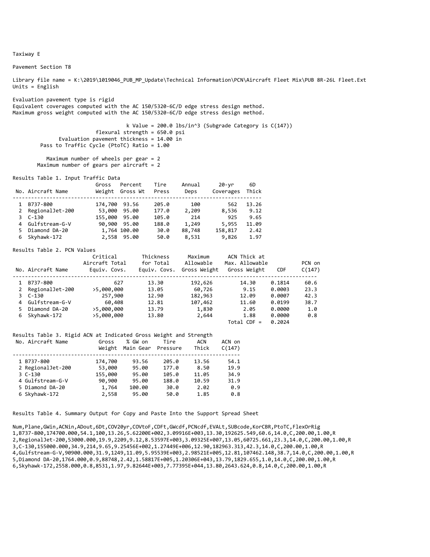Taxiway E

Pavement Section T8

Library file name = K:\2019\1019046\_PUB\_MP\_Update\Technical Information\PCN\Aircraft Fleet Mix\PUB 8R-26L Fleet.Ext Units = English

Evaluation pavement type is rigid Equivalent coverages computed with the AC 150/5320‐6C/D edge stress design method. Maximum gross weight computed with the AC 150/5320‐6C/D edge stress design method.

> k Value = 200.0 lbs/in^3 (Subgrade Category is C(147)) flexural strength = 650.0 psi Evaluation pavement thickness = 14.00 in Pass to Traffic Cycle (PtoTC) Ratio = 1.00

```
           Maximum number of wheels per gear = 2
Maximum number of gears per aircraft = 2
```
Results Table 1. Input Traffic Data

|   | No. Aircraft Name | Gross<br>Weight | Percent<br>Gross Wt | Tire<br>Press | Annual<br>Deps | 20-vr<br>Coverages | 6D<br>Thick |
|---|-------------------|-----------------|---------------------|---------------|----------------|--------------------|-------------|
|   | B737-800          | 174,700         | 93.56               | 205.0         | 100            | 562                | 13.26       |
| 2 | RegionalJet-200   | 53,000          | 95.00               | 177.0         | 2,209          | 8,536              | 9.12        |
|   | $3C-130$          | 155,000         | 95.00               | 105.0         | 214            | 925                | 9.65        |
|   | 4 Gulfstream-G-V  |                 | 90,900 95.00        | 188.0         | 1,249          | 5,955              | 11.09       |
|   | Diamond DA-20     |                 | 1,764 100.00        | 30.0          | 88,748         | 158,817            | 2.42        |
|   | Skyhawk-172       |                 | 2,558 95.00         | 50.0          | 8,531          | 9,826              | 1.97        |

#### Results Table 2. PCN Values

|    | No. Aircraft Name | Critical<br>Aircraft Total<br>Equiv. Covs. | Thickness<br>for Total<br>Equiv. Covs. | Maximum<br>Allowable<br>Gross Weight | ACN Thick at<br>Max. Allowable<br>Gross Weight | <b>CDF</b> | PCN on<br>C(147) |
|----|-------------------|--------------------------------------------|----------------------------------------|--------------------------------------|------------------------------------------------|------------|------------------|
|    | B737-800          | 627                                        | 13.30                                  | 192,626                              | 14.30                                          | 0.1814     | 60.6             |
|    | 2 RegionalJet-200 | >5,000,000                                 | 13.05                                  | 60,726                               | 9.15                                           | 0.0003     | 23.3             |
|    | 3 C-130           | 257,900                                    | 12.90                                  | 182,963                              | 12.09                                          | 0.0007     | 42.3             |
|    | 4 Gulfstream-G-V  | 60,408                                     | 12.81                                  | 107,462                              | 11.60                                          | 0.0199     | 38.7             |
| 5. | Diamond DA-20     | >5,000,000                                 | 13.79                                  | 1,830                                | 2.05                                           | 0.0000     | 1.0              |
|    | 6 Skyhawk-172     | >5,000,000                                 | 13.80                                  | 2,644                                | 1.88                                           | 0.0000     | 0.8              |
|    |                   |                                            |                                        |                                      | $Total$ CDF =                                  | 0.2024     |                  |

#### Results Table 3. Rigid ACN at Indicated Gross Weight and Strength

| No. Aircraft Name | Gross<br>Weight | % GW on<br>Main Gear | Tire<br>Pressure | ACN<br>Thick | ACN on<br>C(147) |
|-------------------|-----------------|----------------------|------------------|--------------|------------------|
| 1 B737-800        | 174,700         | 93.56                | 205.0            | 13.56        | 54.1             |
| 2 RegionalJet-200 | 53,000          | 95.00                | 177.0            | 8.50         | 19.9             |
| $3C-130$          | 155,000         | 95.00                | 105.0            | 11.05        | 34.9             |
| 4 Gulfstream-G-V  | 90,900          | 95.00                | 188.0            | 10.59        | 31.9             |
| 5 Diamond DA-20   | 1,764           | 100.00               | 30.0             | 2.02         | 0.9              |
| 6 Skyhawk-172     | 2,558           | 95.00                | 50.0             | 1.85         | 0.8              |

Results Table 4. Summary Output for Copy and Paste Into the Support Spread Sheet

Num,Plane,GWin,ACNin,ADout,6Dt,COV20yr,COVtoF,CDFt,GWcdf,PCNcdf,EVALt,SUBcode,KorCBR,PtoTC,FlexOrRig 1,B737‐800,174700.000,54.1,100,13.26,5.62200E+002,3.09916E+003,13.30,192625.549,60.6,14.0,C,200.00,1.00,R 2,RegionalJet‐200,53000.000,19.9,2209,9.12,8.53597E+003,3.09325E+007,13.05,60725.661,23.3,14.0,C,200.00,1.00,R 3,C‐130,155000.000,34.9,214,9.65,9.25456E+002,1.27449E+006,12.90,182963.313,42.3,14.0,C,200.00,1.00,R 4,Gulfstream‐G‐V,90900.000,31.9,1249,11.09,5.95539E+003,2.98521E+005,12.81,107462.148,38.7,14.0,C,200.00,1.00,R 5,Diamond DA‐20,1764.000,0.9,88748,2.42,1.58817E+005,1.20306E+043,13.79,1829.655,1.0,14.0,C,200.00,1.00,R 6,Skyhawk‐172,2558.000,0.8,8531,1.97,9.82644E+003,7.77395E+044,13.80,2643.624,0.8,14.0,C,200.00,1.00,R